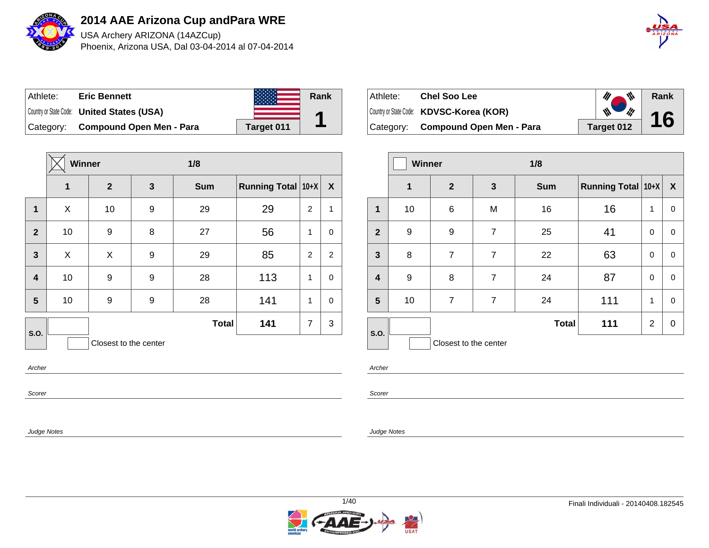

USA Archery ARIZONA (14AZCup) Phoenix, Arizona USA, Dal 03-04-2014 al 07-04-2014



| Athlete:  | <b>Eric Bennett</b>                               |            | Rank |
|-----------|---------------------------------------------------|------------|------|
|           | Country or State Code: <b>United States (USA)</b> |            |      |
| Category: | <b>Compound Open Men - Para</b>                   | Target 011 |      |

|                         | Winner |                       |              | 1/8          |                    |                |                |  |
|-------------------------|--------|-----------------------|--------------|--------------|--------------------|----------------|----------------|--|
|                         | 1      | $\boldsymbol{2}$      | $\mathbf{3}$ | <b>Sum</b>   | Running Total 10+X |                | X              |  |
| $\mathbf 1$             | X      | 10                    | 9            | 29           | 29                 | $\overline{2}$ | 1              |  |
| $\overline{2}$          | 10     | 9                     | 8            | 27           | 56                 | 1              | $\mathbf 0$    |  |
| $\overline{3}$          | X      | X                     | 9            | 29           | 85                 | $\overline{2}$ | $\overline{c}$ |  |
| $\overline{\mathbf{4}}$ | 10     | 9                     | 9            | 28           | 113                | 1              | $\mathbf 0$    |  |
| $5\phantom{1}$          | 10     | 9                     | 9            | 28           | 141                | 1              | $\mathbf 0$    |  |
| S.O.                    |        |                       |              | <b>Total</b> | 141                | $\overline{7}$ | 3              |  |
|                         |        | Closest to the center |              |              |                    |                |                |  |
| Archer                  |        |                       |              |              |                    |                |                |  |

| Athlete: | <b>Chel Soo Lee</b>                      | ₩          | Rank |
|----------|------------------------------------------|------------|------|
|          | Country or State Code: KDVSC-Korea (KOR) | ₩<br>ill   | 16   |
|          | Category: Compound Open Men - Para       | Target 012 |      |

|                         |    | <b>Winner</b><br>1/8  |                |              |                    |                |                  |
|-------------------------|----|-----------------------|----------------|--------------|--------------------|----------------|------------------|
|                         | 1  | $\mathbf{2}$          | 3              | <b>Sum</b>   | Running Total 10+X |                | $\boldsymbol{X}$ |
| 1                       | 10 | 6                     | M              | 16           | 16                 | 1              | 0                |
| $\overline{2}$          | 9  | 9                     | 7              | 25           | 41                 | 0              | 0                |
| $\mathbf{3}$            | 8  | $\overline{7}$        | $\overline{7}$ | 22           | 63                 | 0              | 0                |
| $\overline{\mathbf{4}}$ | 9  | 8                     | 7              | 24           | 87                 | 0              | 0                |
| $5\phantom{1}$          | 10 | $\overline{7}$        | 7              | 24           | 111                | 1              | 0                |
| S.O.                    |    |                       |                | <b>Total</b> | 111                | $\overline{2}$ | 0                |
|                         |    | Closest to the center |                |              |                    |                |                  |

Archer

Scorer

Judge Notes

Scorer

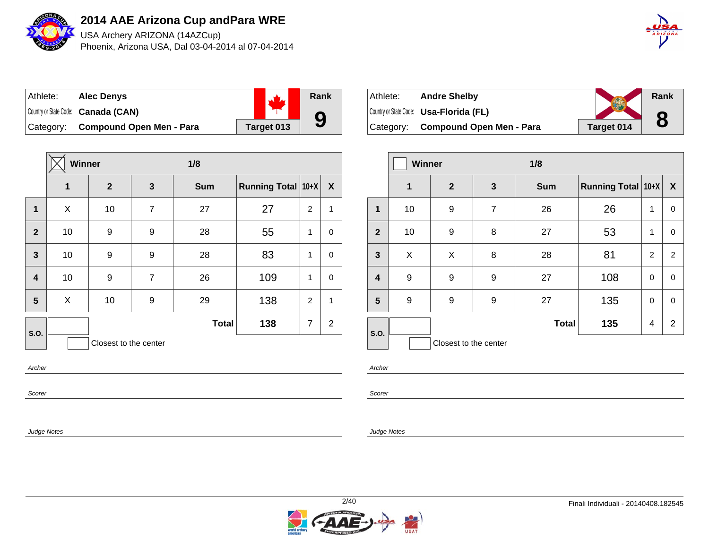

USA Archery ARIZONA (14AZCup) Phoenix, Arizona USA, Dal 03-04-2014 al 07-04-2014



| Athlete:  | <b>Alec Denys</b>                   |            | Rank |
|-----------|-------------------------------------|------------|------|
|           | Country or State Code: Canada (CAN) |            |      |
| Category: | Compound Open Men - Para            | Target 013 | 9    |

|                | <b>Winner</b> |                       |                | 1/8          |                           |                |                           |  |
|----------------|---------------|-----------------------|----------------|--------------|---------------------------|----------------|---------------------------|--|
|                | 1             | $\boldsymbol{2}$      | 3              | <b>Sum</b>   | <b>Running Total 10+X</b> |                | $\boldsymbol{\mathsf{X}}$ |  |
| $\mathbf{1}$   | X             | 10                    | $\overline{7}$ | 27           | 27                        | $\overline{2}$ | $\mathbf{1}$              |  |
| $\overline{2}$ | 10            | 9                     | 9              | 28           | 55                        | 1              | 0                         |  |
| $\mathbf{3}$   | 10            | 9                     | 9              | 28           | 83                        | 1              | 0                         |  |
| 4              | 10            | 9                     | $\overline{7}$ | 26           | 109                       | 1              | 0                         |  |
| 5              | X             | 10                    | 9              | 29           | 138                       | $\overline{2}$ | $\mathbf{1}$              |  |
| S.O.           |               |                       |                | <b>Total</b> | 138                       | $\overline{7}$ | $\overline{2}$            |  |
|                |               | Closest to the center |                |              |                           |                |                           |  |
| Archer         |               |                       |                |              |                           |                |                           |  |

| Athlete:  | <b>Andre Shelby</b>                            |            | <b>Rank</b> |
|-----------|------------------------------------------------|------------|-------------|
|           | Country or State Code: <b>Usa-Florida (FL)</b> |            |             |
| Category: | <b>Compound Open Men - Para</b>                | Target 014 | 8           |

|                         | <b>Winner</b> |                       |                | 1/8          |                    |                |                  |  |
|-------------------------|---------------|-----------------------|----------------|--------------|--------------------|----------------|------------------|--|
|                         | 1             | $\mathbf{2}$          | $\mathbf{3}$   | <b>Sum</b>   | Running Total 10+X |                | $\boldsymbol{X}$ |  |
| 1                       | 10            | 9                     | $\overline{7}$ | 26           | 26                 | 1              | 0                |  |
| $\mathbf{2}$            | 10            | 9                     | 8              | 27           | 53                 | 1              | 0                |  |
| $\mathbf{3}$            | X             | X                     | 8              | 28           | 81                 | $\overline{2}$ | 2                |  |
| $\overline{\mathbf{4}}$ | 9             | 9                     | 9              | 27           | 108                | 0              | 0                |  |
| 5                       | 9             | 9                     | 9              | 27           | 135                | $\mathbf 0$    | 0                |  |
| S.O.                    |               |                       |                | <b>Total</b> | 135                | $\overline{4}$ | $\overline{2}$   |  |
|                         |               | Closest to the center |                |              |                    |                |                  |  |

Scorer

Judge Notes

Archer

Scorer

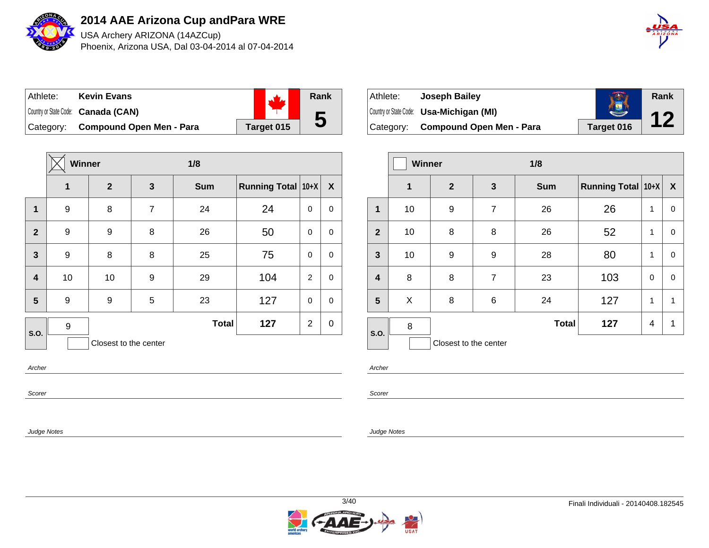

USA Archery ARIZONA (14AZCup) Phoenix, Arizona USA, Dal 03-04-2014 al 07-04-2014



| Athlete:  | <b>Kevin Evans</b>                  |            | Rank |
|-----------|-------------------------------------|------------|------|
|           | Country or State Code: Canada (CAN) |            |      |
| Category: | <b>Compound Open Men - Para</b>     | Target 015 | 5    |

|                         | Winner |                       |   | 1/8          |                    |                |                  |  |
|-------------------------|--------|-----------------------|---|--------------|--------------------|----------------|------------------|--|
|                         | 1      | $\mathbf{2}$          | 3 | <b>Sum</b>   | Running Total 10+X |                | $\boldsymbol{X}$ |  |
| $\mathbf{1}$            | 9      | 8                     | 7 | 24           | 24                 | $\mathbf 0$    | 0                |  |
| $\overline{2}$          | 9      | 9                     | 8 | 26           | 50                 | 0              | 0                |  |
| $\mathbf{3}$            | 9      | 8                     | 8 | 25           | 75                 | $\mathbf 0$    | $\mathbf 0$      |  |
| $\overline{\mathbf{4}}$ | 10     | 10                    | 9 | 29           | 104                | 2              | $\mathbf 0$      |  |
| $5\phantom{1}$          | 9      | 9                     | 5 | 23           | 127                | $\mathbf 0$    | $\mathbf 0$      |  |
| S.O.                    | 9      |                       |   | <b>Total</b> | 127                | $\overline{2}$ | $\mathbf 0$      |  |
|                         |        | Closest to the center |   |              |                    |                |                  |  |
| Archer                  |        |                       |   |              |                    |                |                  |  |

| Athlete:  | Joseph Bailey                                   |            | Rank |  |
|-----------|-------------------------------------------------|------------|------|--|
|           | Country or State Code: <b>Usa-Michigan (MI)</b> |            |      |  |
| Category: | <b>Compound Open Men - Para</b>                 | Target 016 |      |  |

|                         | <b>Winner</b> |                       |                | 1/8          |                    |                |                  |
|-------------------------|---------------|-----------------------|----------------|--------------|--------------------|----------------|------------------|
|                         | 1             | $\overline{2}$        | 3              | <b>Sum</b>   | Running Total 10+X |                | $\boldsymbol{X}$ |
| 1                       | 10            | 9                     | 7              | 26           | 26                 | 1              | 0                |
| $\overline{2}$          | 10            | 8                     | 8              | 26           | 52                 | 1              | 0                |
| $\mathbf{3}$            | 10            | 9                     | 9              | 28           | 80                 | 1              | $\mathbf 0$      |
| $\overline{\mathbf{4}}$ | 8             | 8                     | $\overline{7}$ | 23           | 103                | $\mathbf 0$    | $\mathbf 0$      |
| 5                       | X             | 8                     | 6              | 24           | 127                | 1              | 1                |
| S.O.                    | 8             |                       |                | <b>Total</b> | 127                | $\overline{4}$ | 1                |
|                         |               | Closest to the center |                |              |                    |                |                  |

Archer

Scorer

Judge Notes

Scorer

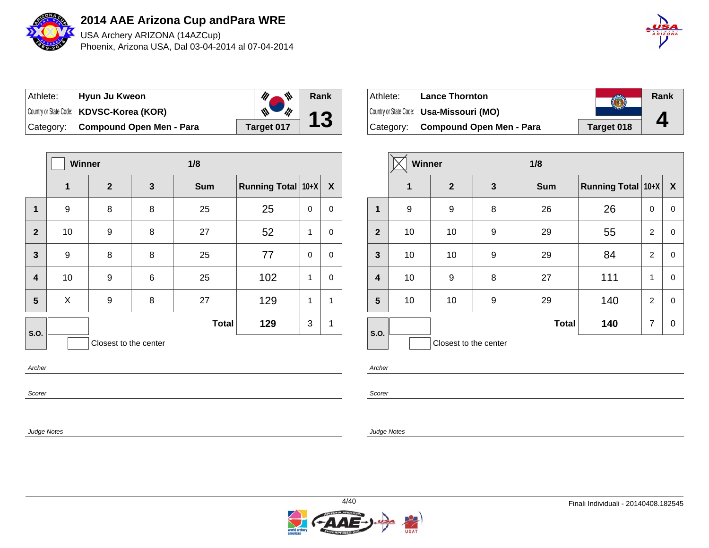

USA Archery ARIZONA (14AZCup) Phoenix, Arizona USA, Dal 03-04-2014 al 07-04-2014



| ∣ Athlete: l | Hyun Ju Kweon                            | ₩          | Rank        |
|--------------|------------------------------------------|------------|-------------|
|              | Country or State Code: KDVSC-Korea (KOR) | i¦!        | $\triangle$ |
|              | Category: Compound Open Men - Para       | Target 017 |             |

|                         | Winner |                       | 1/8 |              |                    |              |              |
|-------------------------|--------|-----------------------|-----|--------------|--------------------|--------------|--------------|
|                         | 1      | $\overline{2}$        | 3   | <b>Sum</b>   | Running Total 10+X |              | $\mathbf{X}$ |
| $\mathbf 1$             | 9      | 8                     | 8   | 25           | 25                 | 0            | 0            |
| $\overline{2}$          | 10     | 9                     | 8   | 27           | 52                 | 1            | 0            |
| $\mathbf{3}$            | 9      | 8                     | 8   | 25           | 77                 | 0            | 0            |
| $\overline{\mathbf{4}}$ | 10     | 9                     | 6   | 25           | 102                | $\mathbf{1}$ | $\mathbf 0$  |
| 5                       | X      | 9                     | 8   | 27           | 129                | 1            | 1            |
| S.O.                    |        | Closest to the center |     | <b>Total</b> | 129                | 3            | 1            |
| Archer                  |        |                       |     |              |                    |              |              |

| , , | ۰ |
|-----|---|
|     |   |

Scorer

Judge Notes

| Athlete: | <b>Lance Thornton</b>                    |            | Rank |
|----------|------------------------------------------|------------|------|
|          | Country or State Code: Usa-Missouri (MO) |            |      |
|          | Category: Compound Open Men - Para       | Target 018 | Д    |

|                         | <b>Winner</b> |                       |              | 1/8          |                    |                |                  |
|-------------------------|---------------|-----------------------|--------------|--------------|--------------------|----------------|------------------|
|                         | 1             | $\mathbf{2}$          | $\mathbf{3}$ | <b>Sum</b>   | Running Total 10+X |                | $\boldsymbol{X}$ |
| 1                       | 9             | 9                     | 8            | 26           | 26                 | $\mathbf 0$    | 0                |
| $\overline{2}$          | 10            | 10                    | 9            | 29           | 55                 | $\overline{2}$ | 0                |
| $\mathbf{3}$            | 10            | 10                    | 9            | 29           | 84                 | 2              | $\mathbf 0$      |
| $\overline{\mathbf{4}}$ | 10            | 9                     | 8            | 27           | 111                | 1              | $\mathbf 0$      |
| 5                       | 10            | 10                    | 9            | 29           | 140                | $\overline{2}$ | 0                |
| <b>S.O.</b>             |               |                       |              | <b>Total</b> | 140                | $\overline{7}$ | $\pmb{0}$        |
|                         |               | Closest to the center |              |              |                    |                |                  |

Archer

Scorer

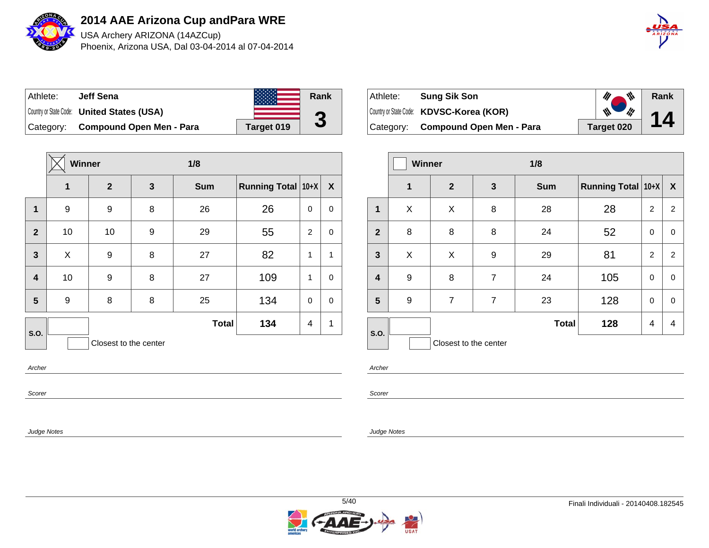

USA Archery ARIZONA (14AZCup) Phoenix, Arizona USA, Dal 03-04-2014 al 07-04-2014



| Athlete:  | Jeff Sena                                         |            | Rank         |
|-----------|---------------------------------------------------|------------|--------------|
|           | Country or State Code: <b>United States (USA)</b> |            | G            |
| Category: | <b>Compound Open Men - Para</b>                   | Target 019 | $\mathbf{J}$ |

|                       | Winner |              |   | 1/8          |                    |             |                  |
|-----------------------|--------|--------------|---|--------------|--------------------|-------------|------------------|
|                       | 1      | $\mathbf{2}$ | 3 | <b>Sum</b>   | Running Total 10+X |             | $\boldsymbol{X}$ |
| 1                     | 9      | 9            | 8 | 26           | 26                 | $\mathbf 0$ | $\mathbf 0$      |
| $\overline{2}$        | 10     | 10           | 9 | 29           | 55                 | 2           | 0                |
| 3                     | X      | 9            | 8 | 27           | 82                 | 1           | 1                |
| 4                     | 10     | 9            | 8 | 27           | 109                | 1           | $\mathbf 0$      |
| 5                     | 9      | 8            | 8 | 25           | 134                | $\mathbf 0$ | $\mathbf 0$      |
| S.O.                  |        |              |   | <b>Total</b> | 134                | 4           | 1                |
| Closest to the center |        |              |   |              |                    |             |                  |
| Archer                |        |              |   |              |                    |             |                  |

| Athlete:  | <b>Sung Sik Son</b>                      | ₩          | Rank |
|-----------|------------------------------------------|------------|------|
|           | Country or State Code: KDVSC-Korea (KOR) | W<br>lij   | 14   |
| Category: | Compound Open Men - Para                 | Target 020 |      |

|                         | Winner      |                       | 1/8            |              |                    |                |                |
|-------------------------|-------------|-----------------------|----------------|--------------|--------------------|----------------|----------------|
|                         | $\mathbf 1$ | $\overline{2}$        | $\mathbf{3}$   | <b>Sum</b>   | Running Total 10+X |                | X              |
| 1                       | X           | X                     | 8              | 28           | 28                 | $\overline{2}$ | $\overline{c}$ |
| $\overline{2}$          | 8           | 8                     | 8              | 24           | 52                 | 0              | 0              |
| $\mathbf{3}$            | X           | X                     | 9              | 29           | 81                 | 2              | $\overline{2}$ |
| $\overline{\mathbf{4}}$ | 9           | 8                     | $\overline{7}$ | 24           | 105                | 0              | 0              |
| 5                       | 9           | $\overline{7}$        | $\overline{7}$ | 23           | 128                | 0              | 0              |
| S.O.                    |             |                       |                | <b>Total</b> | 128                | 4              | 4              |
|                         |             | Closest to the center |                |              |                    |                |                |

Archer

Scorer

Judge Notes

Scorer

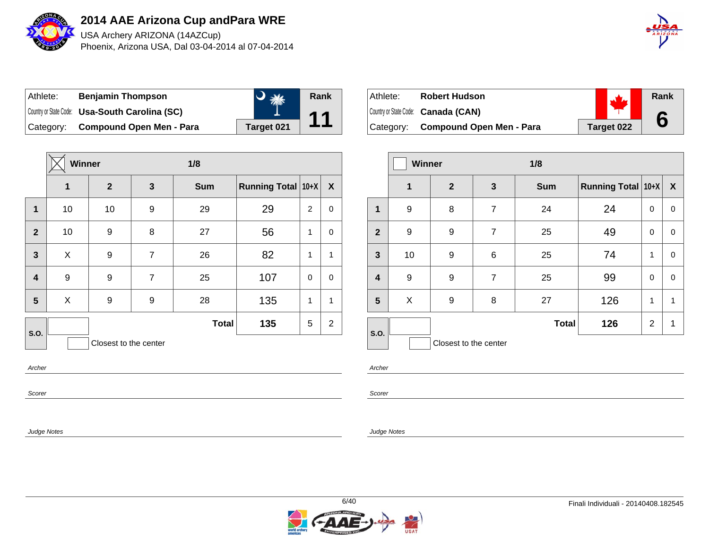

USA Archery ARIZONA (14AZCup) Phoenix, Arizona USA, Dal 03-04-2014 al 07-04-2014



| Athlete: | <b>Benjamin Thompson</b>                       |            | Rank |
|----------|------------------------------------------------|------------|------|
|          | Country or State Code: Usa-South Carolina (SC) |            |      |
|          | Category: Compound Open Men - Para             | Target 021 |      |

|                         | <b>Winner</b>         |                |                | 1/8          |                    |                |                |  |
|-------------------------|-----------------------|----------------|----------------|--------------|--------------------|----------------|----------------|--|
|                         | 1                     | $\overline{2}$ | 3              | <b>Sum</b>   | Running Total 10+X |                | X              |  |
| 1                       | 10                    | 10             | 9              | 29           | 29                 | $\overline{2}$ | 0              |  |
| $\overline{2}$          | 10                    | 9              | 8              | 27           | 56                 | $\mathbf{1}$   | 0              |  |
| $\mathbf{3}$            | X                     | 9              | $\overline{7}$ | 26           | 82                 | $\mathbf{1}$   | 1              |  |
| $\overline{\mathbf{4}}$ | 9                     | 9              | $\overline{7}$ | 25           | 107                | $\mathbf 0$    | $\mathbf 0$    |  |
| 5                       | X                     | 9              | 9              | 28           | 135                | $\mathbf{1}$   | 1              |  |
| S.O.                    |                       |                |                | <b>Total</b> | 135                | 5              | $\overline{2}$ |  |
|                         | Closest to the center |                |                |              |                    |                |                |  |
| Archer                  |                       |                |                |              |                    |                |                |  |

Scorer

Judge Notes

| Athlete:  | <b>Robert Hudson</b>                |            | Rank |
|-----------|-------------------------------------|------------|------|
|           | Country or State Code: Canada (CAN) |            |      |
| Category: | <b>Compound Open Men - Para</b>     | Target 022 |      |

|              | <b>Winner</b> |                       | 1/8            |              |                    |   |             |
|--------------|---------------|-----------------------|----------------|--------------|--------------------|---|-------------|
|              | 1             | $\overline{2}$        | 3              | <b>Sum</b>   | Running Total 10+X |   | X           |
| 1            | 9             | 8                     | 7              | 24           | 24                 | 0 | 0           |
| $\mathbf{2}$ | 9             | 9                     | $\overline{7}$ | 25           | 49                 | 0 | $\mathbf 0$ |
| $\mathbf{3}$ | 10            | 9                     | 6              | 25           | 74                 | 1 | $\mathbf 0$ |
| 4            | 9             | 9                     | $\overline{7}$ | 25           | 99                 | 0 | $\mathbf 0$ |
| 5            | X             | 9                     | 8              | 27           | 126                | 1 | 1           |
| S.O.         |               |                       |                | <b>Total</b> | 126                | 2 | 1           |
|              |               | Closest to the center |                |              |                    |   |             |

Archer

Scorer

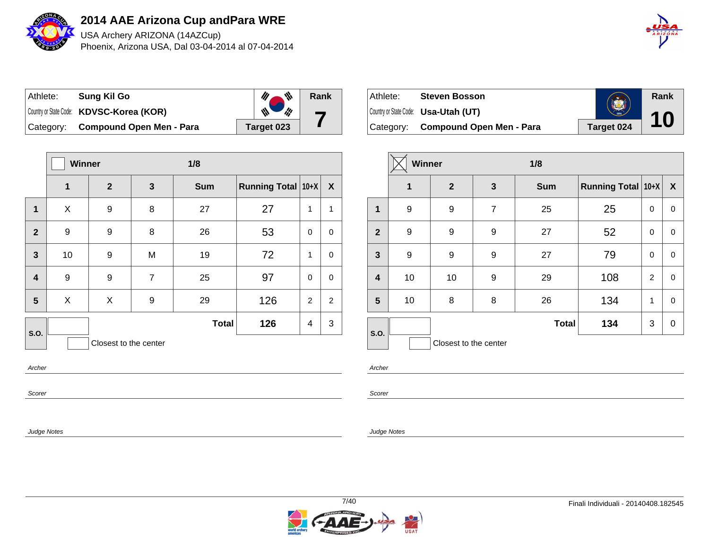

USA Archery ARIZONA (14AZCup) Phoenix, Arizona USA, Dal 03-04-2014 al 07-04-2014



| Athlete: | Sung Kil Go                              | 带          | Rank |
|----------|------------------------------------------|------------|------|
|          | Country or State Code: KDVSC-Korea (KOR) | ill        |      |
|          | Category: Compound Open Men - Para       | Target 023 |      |

|                | <b>Winner</b>         |                  | 1/8            |              |                           |                |                  |  |  |  |
|----------------|-----------------------|------------------|----------------|--------------|---------------------------|----------------|------------------|--|--|--|
|                | 1                     | $\boldsymbol{2}$ | 3              | <b>Sum</b>   | <b>Running Total 10+X</b> |                | $\boldsymbol{X}$ |  |  |  |
| 1              | X                     | 9                | 8              | 27           | 27                        | 1              | $\mathbf{1}$     |  |  |  |
| $\overline{2}$ | 9                     | 9                | 8              | 26           | 53                        | 0              | $\pmb{0}$        |  |  |  |
| $\mathbf{3}$   | 10                    | 9                | M              | 19           | 72                        | 1              | 0                |  |  |  |
| 4              | 9                     | 9                | $\overline{7}$ | 25           | 97                        | 0              | $\mathbf 0$      |  |  |  |
| 5              | X                     | X                | 9              | 29           | 126                       | $\overline{2}$ | $\overline{2}$   |  |  |  |
| S.O.           |                       |                  |                | <b>Total</b> | 126                       | 4              | 3                |  |  |  |
|                | Closest to the center |                  |                |              |                           |                |                  |  |  |  |
|                | Archer                |                  |                |              |                           |                |                  |  |  |  |

|  | ۰. | ۰. |  |
|--|----|----|--|
|  |    |    |  |

Scorer

Judge Notes

| Athlete:  | <b>Steven Bosson</b>                        | B          | Rank |
|-----------|---------------------------------------------|------------|------|
|           | Country or State Code: <b>Usa-Utah (UT)</b> | 1896       | 10   |
| Category: | <b>Compound Open Men - Para</b>             | Target 024 |      |

|                         | Winner      |                       | 1/8            |              |                    |             |                  |
|-------------------------|-------------|-----------------------|----------------|--------------|--------------------|-------------|------------------|
|                         | $\mathbf 1$ | $\mathbf{2}$          | 3              | <b>Sum</b>   | Running Total 10+X |             | $\boldsymbol{X}$ |
| 1                       | 9           | 9                     | $\overline{7}$ | 25           | 25                 | 0           | 0                |
| $\overline{2}$          | 9           | 9                     | 9              | 27           | 52                 | $\mathbf 0$ | 0                |
| $\mathbf{3}$            | 9           | 9                     | 9              | 27           | 79                 | $\mathbf 0$ | $\mathbf 0$      |
| $\overline{\mathbf{4}}$ | 10          | 10                    | 9              | 29           | 108                | 2           | 0                |
| 5                       | 10          | 8                     | 8              | 26           | 134                | 1           | $\mathbf 0$      |
| S.O.                    |             |                       |                | <b>Total</b> | 134                | 3           | 0                |
|                         |             | Closest to the center |                |              |                    |             |                  |

Archer

Scorer

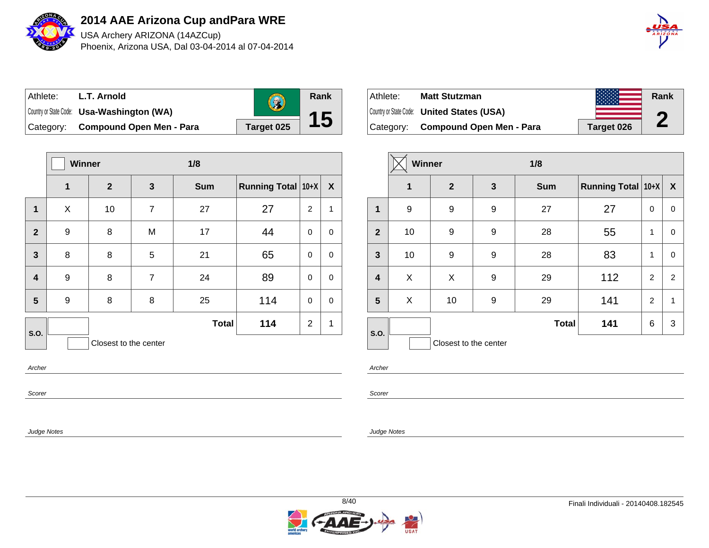

USA Archery ARIZONA (14AZCup) Phoenix, Arizona USA, Dal 03-04-2014 al 07-04-2014



| Athlete:  | L.T. Arnold                                | $\left( 2\right)$ | <b>Rank</b> |
|-----------|--------------------------------------------|-------------------|-------------|
|           | Country or State Code: Usa-Washington (WA) |                   |             |
| Category: | <b>Compound Open Men - Para</b>            | Target 025        |             |

|                         | <b>Winner</b> |                       | 1/8            |              |                    |                |              |
|-------------------------|---------------|-----------------------|----------------|--------------|--------------------|----------------|--------------|
|                         | 1             | $\mathbf{2}$          | 3              | <b>Sum</b>   | Running Total 10+X |                | X            |
| $\mathbf{1}$            | X             | 10                    | $\overline{7}$ | 27           | 27                 | $\overline{2}$ | $\mathbf{1}$ |
| $\overline{2}$          | 9             | 8                     | M              | 17           | 44                 | 0              | 0            |
| $\overline{\mathbf{3}}$ | 8             | 8                     | 5              | 21           | 65                 | 0              | $\mathbf 0$  |
| $\overline{\mathbf{4}}$ | 9             | 8                     | $\overline{7}$ | 24           | 89                 | 0              | $\mathbf 0$  |
| 5                       | 9             | 8                     | 8              | 25           | 114                | 0              | 0            |
| S.O.                    |               |                       |                | <b>Total</b> | 114                | $\overline{2}$ | 1            |
| Archer                  |               | Closest to the center |                |              |                    |                |              |

| Athlete:  | <b>Matt Stutzman</b>                              |            | Rank                  |
|-----------|---------------------------------------------------|------------|-----------------------|
|           | Country or State Code: <b>United States (USA)</b> |            | A                     |
| Category: | <b>Compound Open Men - Para</b>                   | Target 026 | $\blacktriangleright$ |

|                         | <b>Winner</b> |                       | 1/8 |              |                           |                |                           |
|-------------------------|---------------|-----------------------|-----|--------------|---------------------------|----------------|---------------------------|
|                         | 1             | $\overline{2}$        | 3   | <b>Sum</b>   | <b>Running Total 10+X</b> |                | $\boldsymbol{\mathsf{X}}$ |
| 1                       | 9             | 9                     | 9   | 27           | 27                        | 0              | 0                         |
| $\overline{2}$          | 10            | 9                     | 9   | 28           | 55                        | 1              | 0                         |
| $\mathbf{3}$            | 10            | 9                     | 9   | 28           | 83                        | 1              | $\mathbf 0$               |
| $\overline{\mathbf{4}}$ | X             | X                     | 9   | 29           | 112                       | $\overline{2}$ | 2                         |
| $5\phantom{1}$          | X             | 10                    | 9   | 29           | 141                       | $\overline{2}$ | 1                         |
| S.O.                    |               |                       |     | <b>Total</b> | 141                       | 6              | 3                         |
|                         |               | Closest to the center |     |              |                           |                |                           |

Archer

Scorer

Judge Notes

Scorer

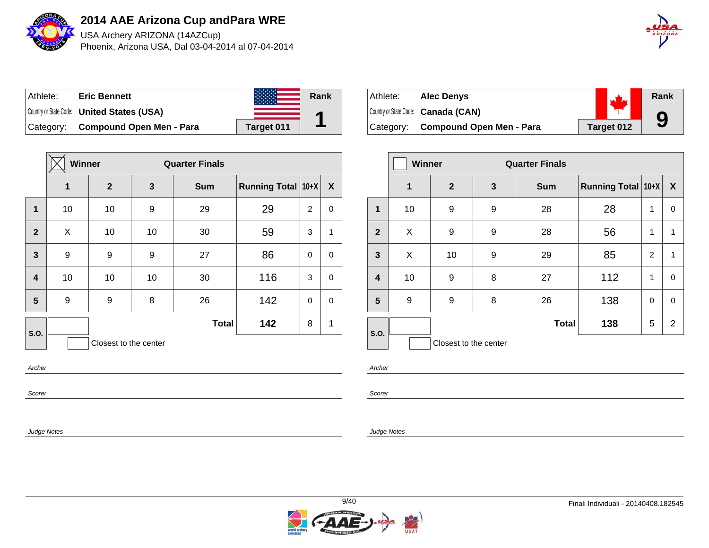

USA Archery ARIZONA (14AZCup) Phoenix, Arizona USA, Dal 03-04-2014 al 07-04-2014



| Athlete:  | <b>Eric Bennett</b>                               |            | Rank |
|-----------|---------------------------------------------------|------------|------|
|           | Country or State Code: <b>United States (USA)</b> |            |      |
| Category: | <b>Compound Open Men - Para</b>                   | Target 011 |      |

|                         | <b>Winner</b><br><b>Quarter Finals</b> |                  |    |              |                    |                |             |
|-------------------------|----------------------------------------|------------------|----|--------------|--------------------|----------------|-------------|
|                         | 1                                      | $\boldsymbol{2}$ | 3  | <b>Sum</b>   | Running Total 10+X |                | X           |
| $\mathbf 1$             | 10                                     | 10               | 9  | 29           | 29                 | $\overline{2}$ | 0           |
| $\mathbf{2}$            | X                                      | 10               | 10 | 30           | 59                 | 3              | 1           |
| 3                       | 9                                      | 9                | 9  | 27           | 86                 | 0              | $\mathbf 0$ |
| $\overline{\mathbf{4}}$ | 10                                     | 10               | 10 | 30           | 116                | 3              | $\mathbf 0$ |
| 5                       | 9                                      | 9                | 8  | 26           | 142                | 0              | 0           |
| S.O.                    |                                        |                  |    | <b>Total</b> | 142                | 8              | 1           |
|                         | Closest to the center                  |                  |    |              |                    |                |             |
| Archer                  |                                        |                  |    |              |                    |                |             |

| Athlete: | <b>Alec Denvs</b>                   |            | Rank |
|----------|-------------------------------------|------------|------|
|          | Country or State Code: Canada (CAN) |            |      |
|          | Category: Compound Open Men - Para  | Target 012 | 9    |

|              | <b>Winner</b> |                       |              | <b>Quarter Finals</b> |                    |              |                  |
|--------------|---------------|-----------------------|--------------|-----------------------|--------------------|--------------|------------------|
|              | $\mathbf 1$   | $\mathbf{2}$          | $\mathbf{3}$ | <b>Sum</b>            | Running Total 10+X |              | $\boldsymbol{X}$ |
| 1            | 10            | 9                     | 9            | 28                    | 28                 | $\mathbf{1}$ | 0                |
| $\mathbf{2}$ | X             | 9                     | 9            | 28                    | 56                 | 1            | 1                |
| $\mathbf{3}$ | X             | 10                    | 9            | 29                    | 85                 | 2            | 1                |
| 4            | 10            | 9                     | 8            | 27                    | 112                | 1            | 0                |
| 5            | 9             | 9                     | 8            | 26                    | 138                | 0            | 0                |
| S.O.         |               |                       |              | <b>Total</b>          | 138                | 5            | $\overline{2}$   |
|              |               | Closest to the center |              |                       |                    |              |                  |

Archer

Scorer

Judge Notes

Scorer

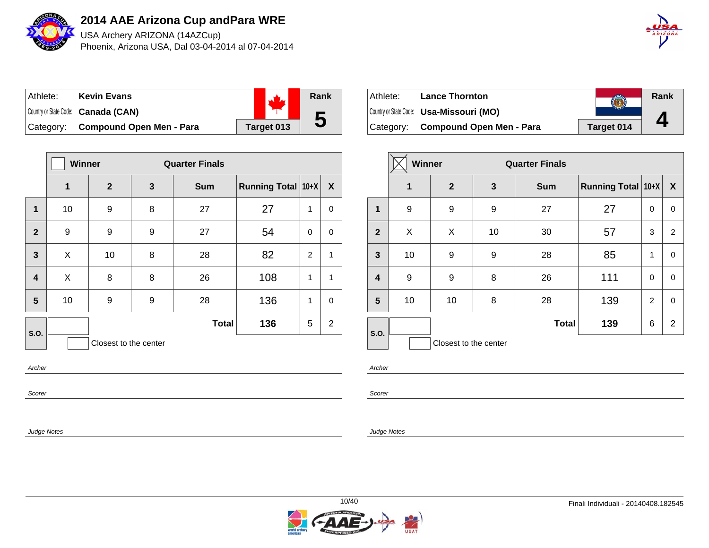

USA Archery ARIZONA (14AZCup) Phoenix, Arizona USA, Dal 03-04-2014 al 07-04-2014



| ⊺Athlete: | <b>Kevin Evans</b>                  |            | Rank |
|-----------|-------------------------------------|------------|------|
|           | Country or State Code: Canada (CAN) |            |      |
| Category: | Compound Open Men - Para            | Target 013 |      |

|                         | Winner<br><b>Quarter Finals</b> |                       |   |              |                    |                |                |
|-------------------------|---------------------------------|-----------------------|---|--------------|--------------------|----------------|----------------|
|                         | 1                               | $\mathbf{2}$          | 3 | <b>Sum</b>   | Running Total 10+X |                | X              |
| 1                       | 10                              | 9                     | 8 | 27           | 27                 | 1              | 0              |
| $\overline{2}$          | 9                               | 9                     | 9 | 27           | 54                 | $\mathbf 0$    | 0              |
| $\mathbf{3}$            | X                               | 10                    | 8 | 28           | 82                 | $\overline{2}$ | 1              |
| $\overline{\mathbf{4}}$ | X                               | 8                     | 8 | 26           | 108                | 1              | 1              |
| 5                       | 10                              | 9                     | 9 | 28           | 136                | 1              | 0              |
| S.O.                    |                                 |                       |   | <b>Total</b> | 136                | 5              | $\overline{2}$ |
|                         |                                 | Closest to the center |   |              |                    |                |                |
| Archer                  |                                 |                       |   |              |                    |                |                |

| Athlete: | <b>Lance Thornton</b>                    |            | Rank |
|----------|------------------------------------------|------------|------|
|          | Country or State Code: Usa-Missouri (MO) |            |      |
|          | Category: Compound Open Men - Para       | Target 014 |      |

|                | <b>Winner</b><br><b>Quarter Finals</b> |                       |              |              |                    |                |                  |
|----------------|----------------------------------------|-----------------------|--------------|--------------|--------------------|----------------|------------------|
|                | 1                                      | $\mathbf{2}$          | $\mathbf{3}$ | <b>Sum</b>   | Running Total 10+X |                | $\boldsymbol{X}$ |
| 1              | 9                                      | 9                     | 9            | 27           | 27                 | 0              | 0                |
| $\overline{2}$ | X                                      | X                     | 10           | 30           | 57                 | 3              | $\overline{c}$   |
| $\mathbf{3}$   | 10                                     | 9                     | 9            | 28           | 85                 | 1              | 0                |
| 4              | 9                                      | 9                     | 8            | 26           | 111                | $\Omega$       | 0                |
| 5              | 10                                     | 10                    | 8            | 28           | 139                | $\overline{2}$ | 0                |
| S.O.           |                                        |                       |              | <b>Total</b> | 139                | 6              | $\overline{2}$   |
|                |                                        | Closest to the center |              |              |                    |                |                  |

Archer

Scorer

Judge Notes

Scorer

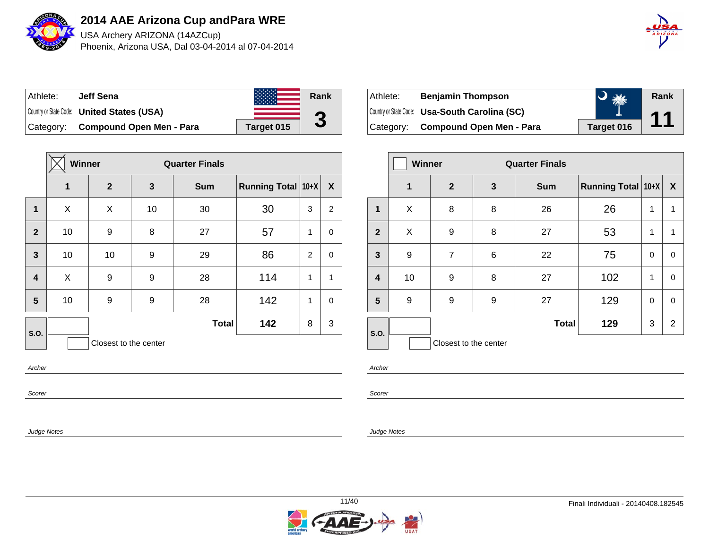

USA Archery ARIZONA (14AZCup) Phoenix, Arizona USA, Dal 03-04-2014 al 07-04-2014



| Athlete:  | <b>Jeff Sena</b>                                  |            | Rank |
|-----------|---------------------------------------------------|------------|------|
|           | Country or State Code: <b>United States (USA)</b> |            | ŋ    |
| Category: | <b>Compound Open Men - Para</b>                   | Target 015 | J    |

|                         | Winner<br><b>Quarter Finals</b> |                       |    |              |                    |   |                           |
|-------------------------|---------------------------------|-----------------------|----|--------------|--------------------|---|---------------------------|
|                         | $\mathbf{1}$                    | $\mathbf{2}$          | 3  | <b>Sum</b>   | Running Total 10+X |   | $\boldsymbol{\mathsf{X}}$ |
| 1                       | X                               | X                     | 10 | 30           | 30                 | 3 | 2                         |
| $\overline{2}$          | 10                              | 9                     | 8  | 27           | 57                 | 1 | 0                         |
| $\mathbf{3}$            | 10                              | 10                    | 9  | 29           | 86                 | 2 | $\mathbf 0$               |
| $\overline{\mathbf{4}}$ | X                               | 9                     | 9  | 28           | 114                | 1 | $\mathbf{1}$              |
| 5                       | 10                              | 9                     | 9  | 28           | 142                | 1 | 0                         |
| S.O.                    |                                 |                       |    | <b>Total</b> | 142                | 8 | 3                         |
|                         |                                 | Closest to the center |    |              |                    |   |                           |
| Archer                  |                                 |                       |    |              |                    |   |                           |

| ⊺Athlete: | <b>Benjamin Thompson</b>                       | The Sea    | Rank                     |
|-----------|------------------------------------------------|------------|--------------------------|
|           | Country or State Code: Usa-South Carolina (SC) |            | $\blacktriangleleft$ and |
|           | Category: Compound Open Men - Para             | Target 016 |                          |

|                         |             | <b>Winner</b><br><b>Quarter Finals</b> |              |              |                    |          |                           |
|-------------------------|-------------|----------------------------------------|--------------|--------------|--------------------|----------|---------------------------|
|                         | $\mathbf 1$ | $\overline{2}$                         | $\mathbf{3}$ | <b>Sum</b>   | Running Total 10+X |          | $\boldsymbol{\mathsf{X}}$ |
| 1                       | X           | 8                                      | 8            | 26           | 26                 | 1        | 1                         |
| $\overline{2}$          | X           | 9                                      | 8            | 27           | 53                 | 1        | 1                         |
| 3                       | 9           | $\overline{7}$                         | 6            | 22           | 75                 | $\Omega$ | 0                         |
| $\overline{\mathbf{4}}$ | 10          | 9                                      | 8            | 27           | 102                | 1        | 0                         |
| 5                       | 9           | 9                                      | 9            | 27           | 129                | $\Omega$ | 0                         |
| S.O.                    |             |                                        |              | <b>Total</b> | 129                | 3        | $\overline{2}$            |
|                         |             | Closest to the center                  |              |              |                    |          |                           |

Archer

Scorer

Judge Notes

Scorer

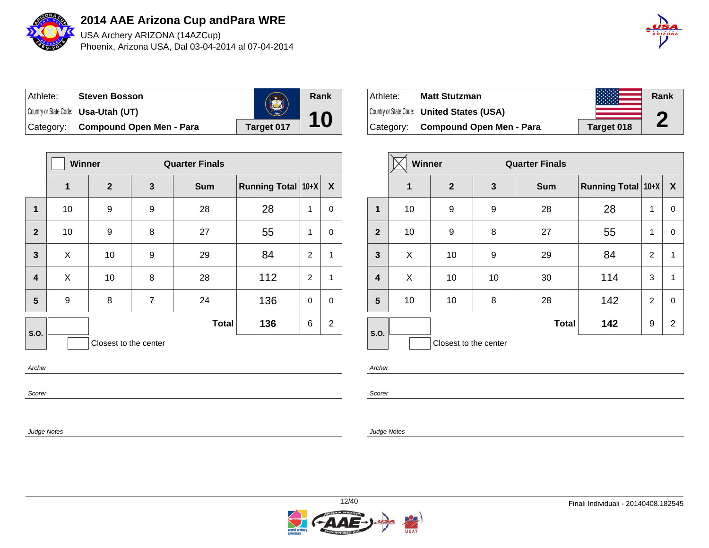

USA Archery ARIZONA (14AZCup) Phoenix, Arizona USA, Dal 03-04-2014 al 07-04-2014



| ⊺Athlete: | <b>Steven Bosson</b>                        | <b>CERA</b> | Rank |
|-----------|---------------------------------------------|-------------|------|
|           | Country or State Code: <b>Usa-Utah (UT)</b> |             |      |
| Category: | <b>Compound Open Men - Para</b>             | Target 017  |      |

|                         | Winner |                       |                | <b>Quarter Finals</b> |                    |                |                  |
|-------------------------|--------|-----------------------|----------------|-----------------------|--------------------|----------------|------------------|
|                         | 1      | $\mathbf{2}$          | 3              | <b>Sum</b>            | Running Total 10+X |                | $\boldsymbol{X}$ |
| 1                       | 10     | 9                     | 9              | 28                    | 28                 | 1              | 0                |
| $\overline{2}$          | 10     | 9                     | 8              | 27                    | 55                 | $\mathbf{1}$   | $\mathbf 0$      |
| $\mathbf{3}$            | X      | 10                    | 9              | 29                    | 84                 | $\overline{2}$ | 1                |
| $\overline{\mathbf{4}}$ | X      | 10                    | 8              | 28                    | 112                | $\overline{2}$ | $\mathbf{1}$     |
| 5                       | 9      | 8                     | $\overline{7}$ | 24                    | 136                | $\mathbf 0$    | 0                |
| S.O.                    |        |                       |                | <b>Total</b>          | 136                | 6              | $\overline{2}$   |
|                         |        | Closest to the center |                |                       |                    |                |                  |
| Archer                  |        |                       |                |                       |                    |                |                  |

| Athlete:  | <b>Matt Stutzman</b>                              |            | Rank |
|-----------|---------------------------------------------------|------------|------|
|           | Country or State Code: <b>United States (USA)</b> |            | m    |
| Category: | <b>Compound Open Men - Para</b>                   | Target 018 | Z    |

|                         | <b>Winner</b> |                       |    | <b>Quarter Finals</b> |                    |                |                  |
|-------------------------|---------------|-----------------------|----|-----------------------|--------------------|----------------|------------------|
|                         | 1             | $\mathbf{2}$          | 3  | <b>Sum</b>            | Running Total 10+X |                | $\boldsymbol{X}$ |
| 1                       | 10            | 9                     | 9  | 28                    | 28                 | 1              | 0                |
| $\overline{2}$          | 10            | 9                     | 8  | 27                    | 55                 | 1              | 0                |
| $\mathbf{3}$            | X             | 10                    | 9  | 29                    | 84                 | 2              | 1                |
| $\overline{\mathbf{4}}$ | X             | 10                    | 10 | 30                    | 114                | 3              | 1                |
| 5                       | 10            | 10                    | 8  | 28                    | 142                | $\overline{2}$ | $\mathbf 0$      |
| S.O.                    |               |                       |    | <b>Total</b>          | 142                | 9              | $\overline{2}$   |
|                         |               | Closest to the center |    |                       |                    |                |                  |

Archer

Scorer

Judge Notes

Scorer

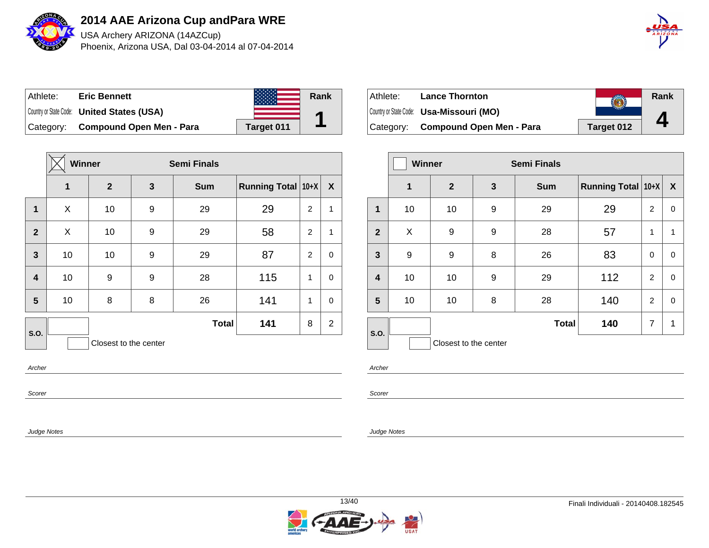

USA Archery ARIZONA (14AZCup) Phoenix, Arizona USA, Dal 03-04-2014 al 07-04-2014



| Athlete:  | <b>Eric Bennett</b>                               |            | Rank |
|-----------|---------------------------------------------------|------------|------|
|           | Country or State Code: <b>United States (USA)</b> |            |      |
| Category: | <b>Compound Open Men - Para</b>                   | Target 011 |      |

|                         | Winner |                       |   | <b>Semi Finals</b> |                    |                |                |
|-------------------------|--------|-----------------------|---|--------------------|--------------------|----------------|----------------|
|                         | 1      | $\mathbf{2}$          | 3 | <b>Sum</b>         | Running Total 10+X |                | X              |
| $\mathbf 1$             | X      | 10                    | 9 | 29                 | 29                 | 2              | $\mathbf{1}$   |
| $\mathbf{2}$            | X      | 10                    | 9 | 29                 | 58                 | 2              | 1              |
| 3                       | 10     | 10                    | 9 | 29                 | 87                 | $\overline{2}$ | 0              |
| $\overline{\mathbf{4}}$ | 10     | 9                     | 9 | 28                 | 115                | 1              | 0              |
| 5                       | 10     | 8                     | 8 | 26                 | 141                | 1              | 0              |
| S.O.                    |        |                       |   | <b>Total</b>       | 141                | 8              | $\overline{2}$ |
|                         |        | Closest to the center |   |                    |                    |                |                |
| Archer                  |        |                       |   |                    |                    |                |                |

| ⊦Athlete: | <b>Lance Thornton</b>                    |            | Rank |
|-----------|------------------------------------------|------------|------|
|           | Country or State Code: Usa-Missouri (MO) |            |      |
| Category: | Compound Open Men - Para                 | Target 012 |      |

|                         | <b>Winner</b> |                       |   | <b>Semi Finals</b> |                    |                |                  |
|-------------------------|---------------|-----------------------|---|--------------------|--------------------|----------------|------------------|
|                         | $\mathbf 1$   | $\overline{2}$        | 3 | <b>Sum</b>         | Running Total 10+X |                | $\boldsymbol{X}$ |
| 1                       | 10            | 10                    | 9 | 29                 | 29                 | 2              | 0                |
| $\overline{2}$          | X             | 9                     | 9 | 28                 | 57                 | 1              | 1                |
| $\mathbf{3}$            | 9             | 9                     | 8 | 26                 | 83                 | $\Omega$       | 0                |
| $\overline{\mathbf{4}}$ | 10            | 10                    | 9 | 29                 | 112                | 2              | $\mathbf 0$      |
| $5\phantom{1}$          | 10            | 10                    | 8 | 28                 | 140                | $\overline{2}$ | $\mathbf 0$      |
| S.O.                    |               |                       |   | <b>Total</b>       | 140                | $\overline{7}$ | $\mathbf 1$      |
|                         |               | Closest to the center |   |                    |                    |                |                  |

Archer

Scorer

Judge Notes

Scorer

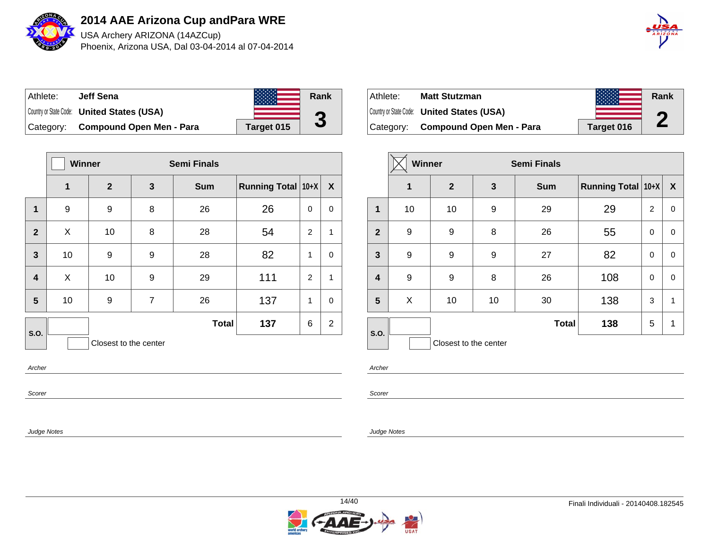

USA Archery ARIZONA (14AZCup) Phoenix, Arizona USA, Dal 03-04-2014 al 07-04-2014



| Athlete:  | <b>Jeff Sena</b>                                  |            | Rank |
|-----------|---------------------------------------------------|------------|------|
|           | Country or State Code: <b>United States (USA)</b> |            | G    |
| Category: | <b>Compound Open Men - Para</b>                   | Target 015 |      |

|                | <b>Winner</b> |                       |                | <b>Semi Finals</b> |                    |                |                |
|----------------|---------------|-----------------------|----------------|--------------------|--------------------|----------------|----------------|
|                | 1             | $\mathbf{2}$          | 3              | <b>Sum</b>         | Running Total 10+X |                | X              |
| 1              | 9             | 9                     | 8              | 26                 | 26                 | 0              | 0              |
| $\overline{2}$ | X             | 10                    | 8              | 28                 | 54                 | $\overline{2}$ | $\mathbf{1}$   |
| 3              | 10            | 9                     | 9              | 28                 | 82                 | 1              | 0              |
| 4              | X             | 10                    | 9              | 29                 | 111                | $\overline{2}$ | $\mathbf{1}$   |
| 5              | 10            | 9                     | $\overline{7}$ | 26                 | 137                | 1              | 0              |
| S.O.           |               |                       |                | <b>Total</b>       | 137                | 6              | $\overline{2}$ |
|                |               | Closest to the center |                |                    |                    |                |                |
| Archer         |               |                       |                |                    |                    |                |                |

| Athlete:  | <b>Matt Stutzman</b>                              |            | Rank |
|-----------|---------------------------------------------------|------------|------|
|           | Country or State Code: <b>United States (USA)</b> |            | n    |
| Category: | <b>Compound Open Men - Para</b>                   | Target 016 | L    |

|                | Winner |                       |    | <b>Semi Finals</b> |                    |          |                  |
|----------------|--------|-----------------------|----|--------------------|--------------------|----------|------------------|
|                | 1      | $\overline{2}$        | 3  | <b>Sum</b>         | Running Total 10+X |          | $\boldsymbol{X}$ |
| 1              | 10     | 10                    | 9  | 29                 | 29                 | 2        | 0                |
| $\overline{2}$ | 9      | 9                     | 8  | 26                 | 55                 | $\Omega$ | $\mathbf 0$      |
| $\mathbf{3}$   | 9      | 9                     | 9  | 27                 | 82                 | $\Omega$ | 0                |
| $\overline{4}$ | 9      | 9                     | 8  | 26                 | 108                | $\Omega$ | $\mathbf 0$      |
| 5              | X      | 10                    | 10 | 30                 | 138                | 3        | 1                |
| S.O.           |        |                       |    | <b>Total</b>       | 138                | 5        | 1                |
|                |        | Closest to the center |    |                    |                    |          |                  |

Archer

Scorer

Judge Notes

Scorer

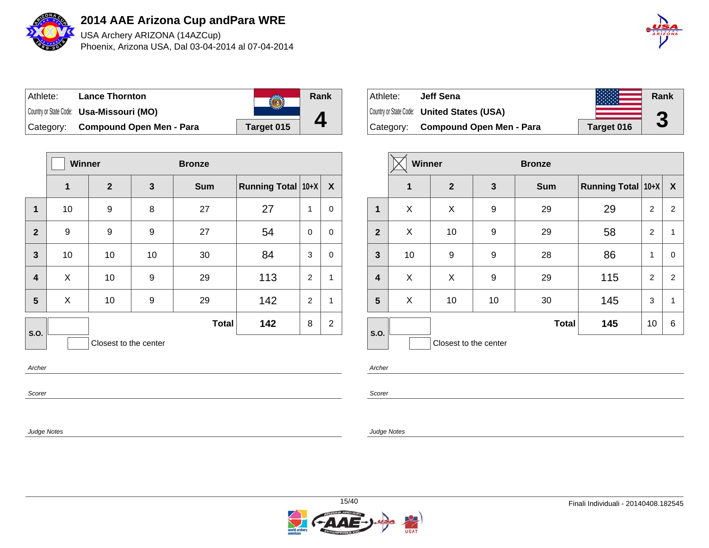

USA Archery ARIZONA (14AZCup) Phoenix, Arizona USA, Dal 03-04-2014 al 07-04-2014

| $\hat{A}$ $\hat{B}$ $\hat{I}$ $\hat{Z}$ $\hat{O}$ $\hat{N}$ $\hat{A}$ |
|-----------------------------------------------------------------------|
|                                                                       |

| Athlete:  | <b>Lance Thornton</b>                           |            | Rank |
|-----------|-------------------------------------------------|------------|------|
|           | Country or State Code: <b>Usa-Missouri (MO)</b> |            |      |
| Category: | <b>Compound Open Men - Para</b>                 | Target 015 |      |

|                | <b>Winner</b> |                       | <b>Bronze</b> |              |                    |                |                |
|----------------|---------------|-----------------------|---------------|--------------|--------------------|----------------|----------------|
|                | 1             | $\mathbf{2}$          | 3             | <b>Sum</b>   | Running Total 10+X |                | X              |
| $\mathbf 1$    | 10            | 9                     | 8             | 27           | 27                 | $\mathbf{1}$   | 0              |
| $\overline{2}$ | 9             | 9                     | 9             | 27           | 54                 | 0              | 0              |
| $\overline{3}$ | 10            | 10                    | 10            | 30           | 84                 | 3              | 0              |
| 4              | X             | 10                    | 9             | 29           | 113                | $\overline{2}$ | 1              |
| 5              | X             | 10                    | 9             | 29           | 142                | $\overline{2}$ | $\mathbf{1}$   |
| S.O.           |               |                       |               | <b>Total</b> | 142                | 8              | $\overline{2}$ |
|                |               | Closest to the center |               |              |                    |                |                |
| Archer         |               |                       |               |              |                    |                |                |

| Athlete:  | Jeff Sena                                         |            | Rank |
|-----------|---------------------------------------------------|------------|------|
|           | Country or State Code: <b>United States (USA)</b> |            | ŋ    |
| Category: | <b>Compound Open Men - Para</b>                   | Target 016 | J    |

|                         | <b>Winner</b> |                       |    | <b>Bronze</b> |                           |                |                  |
|-------------------------|---------------|-----------------------|----|---------------|---------------------------|----------------|------------------|
|                         | $\mathbf 1$   | $\overline{2}$        | 3  | <b>Sum</b>    | <b>Running Total 10+X</b> |                | $\boldsymbol{X}$ |
| 1                       | X             | X                     | 9  | 29            | 29                        | 2              | 2                |
| $\overline{2}$          | X             | 10                    | 9  | 29            | 58                        | 2              | 1                |
| $\mathbf{3}$            | 10            | 9                     | 9  | 28            | 86                        | 1              | 0                |
| $\overline{\mathbf{4}}$ | X             | X                     | 9  | 29            | 115                       | $\overline{2}$ | 2                |
| $5\phantom{1}$          | X             | 10                    | 10 | 30            | 145                       | 3              | 1                |
| S.O.                    |               |                       |    | <b>Total</b>  | 145                       | 10             | 6                |
|                         |               | Closest to the center |    |               |                           |                |                  |

Scorer

Judge Notes

Archer

Scorer

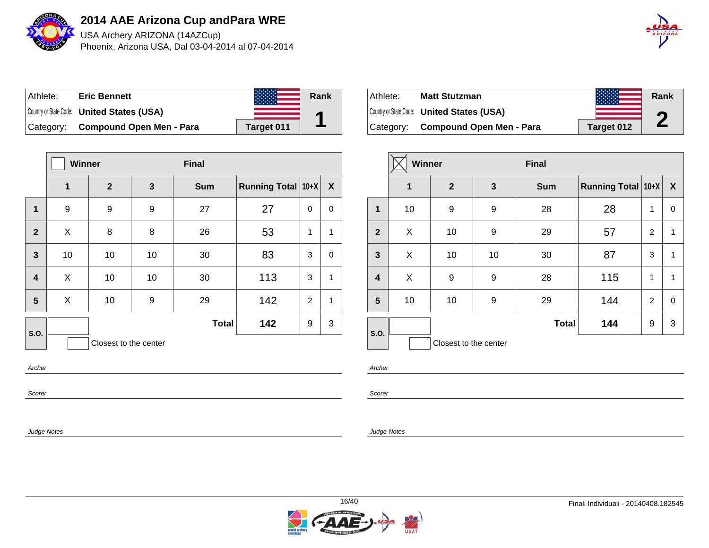

USA Archery ARIZONA (14AZCup) Phoenix, Arizona USA, Dal 03-04-2014 al 07-04-2014



| Athlete:  | <b>Eric Bennett</b>                               |            | Rank |
|-----------|---------------------------------------------------|------------|------|
|           | Country or State Code: <b>United States (USA)</b> |            |      |
| Category: | <b>Compound Open Men - Para</b>                   | Target 011 |      |

|                         | <b>Winner</b>         |                  |    | <b>Final</b> |                           |                |                  |
|-------------------------|-----------------------|------------------|----|--------------|---------------------------|----------------|------------------|
|                         | 1                     | $\boldsymbol{2}$ | 3  | <b>Sum</b>   | <b>Running Total 10+X</b> |                | $\boldsymbol{X}$ |
| 1                       | 9                     | 9                | 9  | 27           | 27                        | 0              | 0                |
| $\overline{2}$          | X                     | 8                | 8  | 26           | 53                        | 1              | $\mathbf{1}$     |
| $\mathbf{3}$            | 10                    | 10               | 10 | 30           | 83                        | 3              | 0                |
| $\overline{\mathbf{4}}$ | X                     | 10               | 10 | 30           | 113                       | 3              | $\mathbf{1}$     |
| 5                       | X                     | 10               | 9  | 29           | 142                       | $\overline{2}$ | $\mathbf{1}$     |
| S.O.                    |                       |                  |    | <b>Total</b> | 142                       | 9              | 3                |
|                         | Closest to the center |                  |    |              |                           |                |                  |
| Archer                  |                       |                  |    |              |                           |                |                  |

| Athlete:  | <b>Matt Stutzman</b>                              |            | Rank |
|-----------|---------------------------------------------------|------------|------|
|           | Country or State Code: <b>United States (USA)</b> |            | m    |
| Category: | Compound Open Men - Para                          | Target 012 | L    |

|                         | <b>Winner</b> |                       |              | <b>Final</b> |                    |                |                  |
|-------------------------|---------------|-----------------------|--------------|--------------|--------------------|----------------|------------------|
|                         | 1             | $\overline{2}$        | $\mathbf{3}$ | <b>Sum</b>   | Running Total 10+X |                | $\boldsymbol{X}$ |
| 1                       | 10            | 9                     | 9            | 28           | 28                 | 1              | 0                |
| $\overline{2}$          | X             | 10                    | 9            | 29           | 57                 | $\overline{2}$ | 1                |
| $\mathbf{3}$            | X             | 10                    | 10           | 30           | 87                 | 3              | 1                |
| $\overline{\mathbf{4}}$ | X             | 9                     | 9            | 28           | 115                | 1              | 1                |
| 5                       | 10            | 10                    | 9            | 29           | 144                | $\overline{2}$ | $\mathbf 0$      |
| S.O.                    |               |                       |              | <b>Total</b> | 144                | 9              | 3                |
|                         |               | Closest to the center |              |              |                    |                |                  |

Archer

Scorer

Judge Notes

Scorer

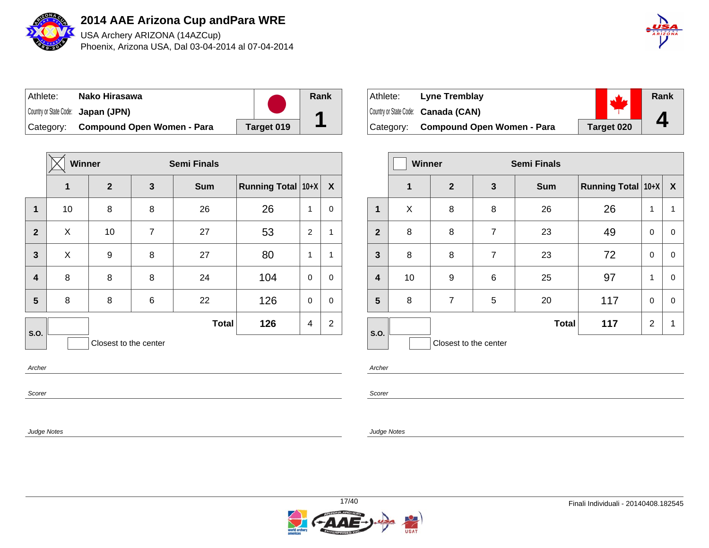

USA Archery ARIZONA (14AZCup) Phoenix, Arizona USA, Dal 03-04-2014 al 07-04-2014



| ∣ Athlete: | Nako Hirasawa                        |            | Rank |
|------------|--------------------------------------|------------|------|
|            | Country or State Code: Japan (JPN)   |            |      |
|            | Category: Compound Open Women - Para | Target 019 |      |

|              | Winner |                       |                | <b>Semi Finals</b> |                    |             |                |
|--------------|--------|-----------------------|----------------|--------------------|--------------------|-------------|----------------|
|              | 1      | $\boldsymbol{2}$      | $\mathbf{3}$   | <b>Sum</b>         | Running Total 10+X |             | $\mathbf{X}$   |
| $\mathbf 1$  | 10     | 8                     | 8              | 26                 | 26                 | 1           | 0              |
| $\mathbf{2}$ | X      | 10                    | $\overline{7}$ | 27                 | 53                 | 2           | 1              |
| 3            | X      | 9                     | 8              | 27                 | 80                 | 1           | 1              |
| 4            | 8      | 8                     | 8              | 24                 | 104                | $\mathbf 0$ | $\mathbf 0$    |
| 5            | 8      | 8                     | 6              | 22                 | 126                | $\mathbf 0$ | 0              |
| S.O.         |        |                       |                | <b>Total</b>       | 126                | 4           | $\overline{2}$ |
|              |        | Closest to the center |                |                    |                    |             |                |
| Archer       |        |                       |                |                    |                    |             |                |

| Athlete:  | Lyne Tremblay                       |            | Rank         |
|-----------|-------------------------------------|------------|--------------|
|           | Country or State Code: Canada (CAN) |            |              |
| Category: | Compound Open Women - Para          | Target 020 | $\mathbf{I}$ |

|                         | <b>Winner</b> |                       |                | <b>Semi Finals</b> |                           |                |                  |
|-------------------------|---------------|-----------------------|----------------|--------------------|---------------------------|----------------|------------------|
|                         | 1             | $\overline{2}$        | $\mathbf{3}$   | <b>Sum</b>         | <b>Running Total 10+X</b> |                | $\boldsymbol{X}$ |
| 1                       | X             | 8                     | 8              | 26                 | 26                        | 1              | 1                |
| $\overline{2}$          | 8             | 8                     | $\overline{7}$ | 23                 | 49                        | 0              | 0                |
| $\mathbf{3}$            | 8             | 8                     | $\overline{7}$ | 23                 | 72                        | 0              | 0                |
| $\overline{\mathbf{4}}$ | 10            | 9                     | 6              | 25                 | 97                        | 1              | 0                |
| 5                       | 8             | $\overline{7}$        | 5              | 20                 | 117                       | 0              | 0                |
|                         |               |                       |                | <b>Total</b>       | 117                       | $\overline{2}$ | 1                |
| S.O.                    |               | Closest to the center |                |                    |                           |                |                  |

Archer

Scorer

Judge Notes

Scorer

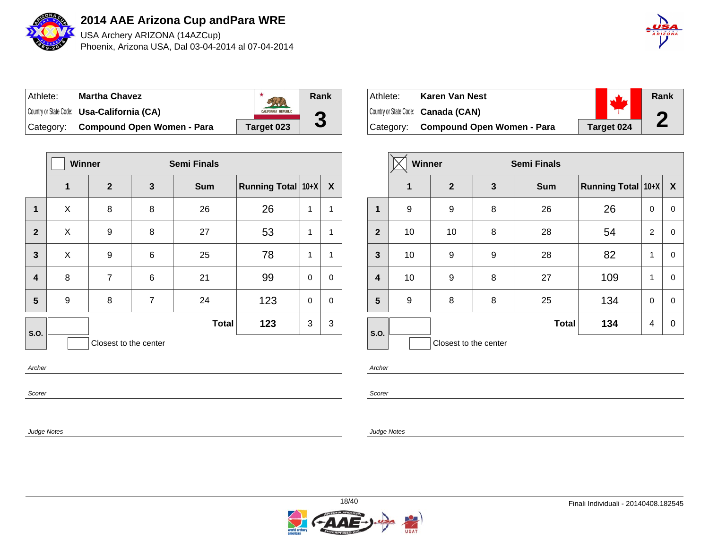

USA Archery ARIZONA (14AZCup) Phoenix, Arizona USA, Dal 03-04-2014 al 07-04-2014

| $\hat{A}$ $\hat{B}$ $\hat{I}$ $\hat{Z}$ $\hat{O}$ $\hat{N}\hat{A}$ |
|--------------------------------------------------------------------|
|                                                                    |

| Athlete:  | <b>Martha Chavez</b>                              |                            | Rank           |
|-----------|---------------------------------------------------|----------------------------|----------------|
|           | Country or State Code: <b>Usa-California (CA)</b> | <b>CALIFORNIA REPUBLIC</b> | $\blacksquare$ |
| Category: | <b>Compound Open Women - Para</b>                 | Target 023                 |                |

|                         | Winner |                       |                | <b>Semi Finals</b> |                          |             |   |  |
|-------------------------|--------|-----------------------|----------------|--------------------|--------------------------|-------------|---|--|
|                         | 1      | $\boldsymbol{2}$      | 3              | <b>Sum</b>         | Running Total $ 10+X $ X |             |   |  |
| 1                       | X      | 8                     | 8              | 26                 | 26                       | 1           | 1 |  |
| $\overline{2}$          | X      | 9                     | 8              | 27                 | 53                       | 1           | 1 |  |
| 3                       | X      | 9                     | 6              | 25                 | 78                       | 1           | 1 |  |
| $\overline{\mathbf{4}}$ | 8      | 7                     | 6              | 21                 | 99                       | $\mathbf 0$ | 0 |  |
| 5                       | 9      | 8                     | $\overline{7}$ | 24                 | 123                      | $\mathbf 0$ | 0 |  |
| S.O.                    |        |                       |                | <b>Total</b>       | 123                      | 3           | 3 |  |
|                         |        | Closest to the center |                |                    |                          |             |   |  |
|                         |        |                       |                |                    |                          |             |   |  |

Scorer

Judge Notes

| Athlete: | Karen Van Nest                       |            | Rank |
|----------|--------------------------------------|------------|------|
|          | Country or State Code: Canada (CAN)  |            |      |
|          | Category: Compound Open Women - Para | Target 024 |      |

|                         | Winner |                       | <b>Semi Finals</b> |              |                           |   |             |
|-------------------------|--------|-----------------------|--------------------|--------------|---------------------------|---|-------------|
|                         | 1      | $\overline{2}$        | 3                  | <b>Sum</b>   | <b>Running Total 10+X</b> |   | X           |
| 1                       | 9      | 9                     | 8                  | 26           | 26                        | 0 | $\mathbf 0$ |
| $\overline{2}$          | 10     | 10                    | 8                  | 28           | 54                        | 2 | $\mathbf 0$ |
| 3                       | 10     | 9                     | 9                  | 28           | 82                        | 1 | 0           |
| $\overline{\mathbf{4}}$ | 10     | 9                     | 8                  | 27           | 109                       | 1 | $\mathbf 0$ |
| 5                       | 9      | 8                     | 8                  | 25           | 134                       | 0 | $\mathbf 0$ |
| S.O.                    |        |                       |                    | <b>Total</b> | 134                       | 4 | $\mathbf 0$ |
|                         |        | Closest to the center |                    |              |                           |   |             |

Archer

Scorer

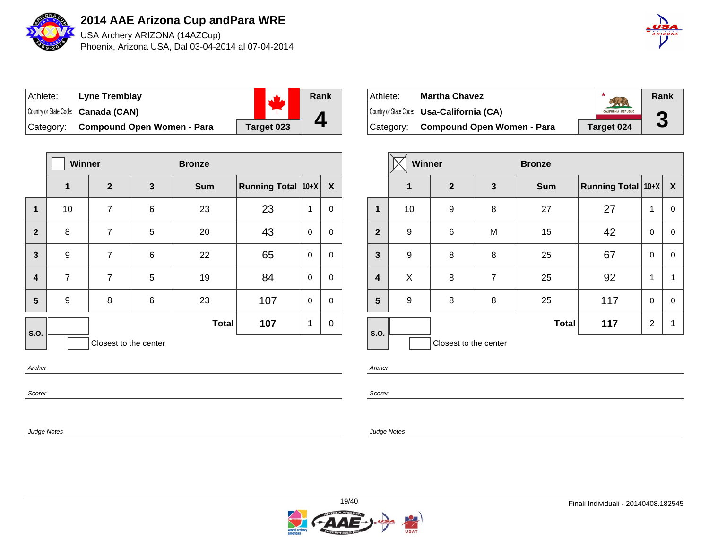

USA Archery ARIZONA (14AZCup) Phoenix, Arizona USA, Dal 03-04-2014 al 07-04-2014



| Athlete:  | <b>Lyne Tremblay</b>                |            | Rank |
|-----------|-------------------------------------|------------|------|
|           | Country or State Code: Canada (CAN) |            |      |
| Category: | <b>Compound Open Women - Para</b>   | Target 023 |      |

|                         | <b>Winner</b>         |                | <b>Bronze</b> |              |                    |             |              |
|-------------------------|-----------------------|----------------|---------------|--------------|--------------------|-------------|--------------|
|                         | 1                     | $\overline{2}$ | 3             | <b>Sum</b>   | Running Total 10+X |             | $\mathbf{X}$ |
| 1                       | 10                    | 7              | 6             | 23           | 23                 | 1           | 0            |
| $\overline{2}$          | 8                     | $\overline{7}$ | 5             | 20           | 43                 | $\mathbf 0$ | 0            |
| $\overline{3}$          | 9                     | $\overline{7}$ | 6             | 22           | 65                 | $\mathbf 0$ | $\mathbf 0$  |
| $\overline{\mathbf{4}}$ | $\overline{7}$        | $\overline{7}$ | 5             | 19           | 84                 | $\mathbf 0$ | $\mathbf 0$  |
| 5                       | 9                     | 8              | 6             | 23           | 107                | 0           | 0            |
| S.O.                    |                       |                |               | <b>Total</b> | 107                | 1           | 0            |
|                         | Closest to the center |                |               |              |                    |             |              |
| Archer                  |                       |                |               |              |                    |             |              |

| Athlete:  | <b>Martha Chavez</b>                       |                            | Rank         |
|-----------|--------------------------------------------|----------------------------|--------------|
|           | Country or State Code: Usa-California (CA) | <b>CALIFORNIA REPUBLIC</b> | ε            |
| Category: | <b>Compound Open Women - Para</b>          | Target 024                 | $\mathbf{c}$ |

|                | Winner      |                       |                | <b>Bronze</b> |                    |             |                  |
|----------------|-------------|-----------------------|----------------|---------------|--------------------|-------------|------------------|
|                | $\mathbf 1$ | $\mathbf{2}$          | $\mathbf{3}$   | <b>Sum</b>    | Running Total 10+X |             | $\boldsymbol{X}$ |
| 1              | 10          | $\boldsymbol{9}$      | 8              | 27            | 27                 | 1           | 0                |
| $\overline{2}$ | 9           | 6                     | M              | 15            | 42                 | 0           | 0                |
| $\mathbf{3}$   | 9           | 8                     | 8              | 25            | 67                 | $\mathbf 0$ | 0                |
| 4              | X           | 8                     | $\overline{7}$ | 25            | 92                 | 1           | 1                |
| 5              | 9           | 8                     | 8              | 25            | 117                | $\Omega$    | 0                |
| S.O.           |             |                       |                | <b>Total</b>  | 117                | 2           | 1                |
|                |             | Closest to the center |                |               |                    |             |                  |

Archer

Scorer

Judge Notes

Scorer

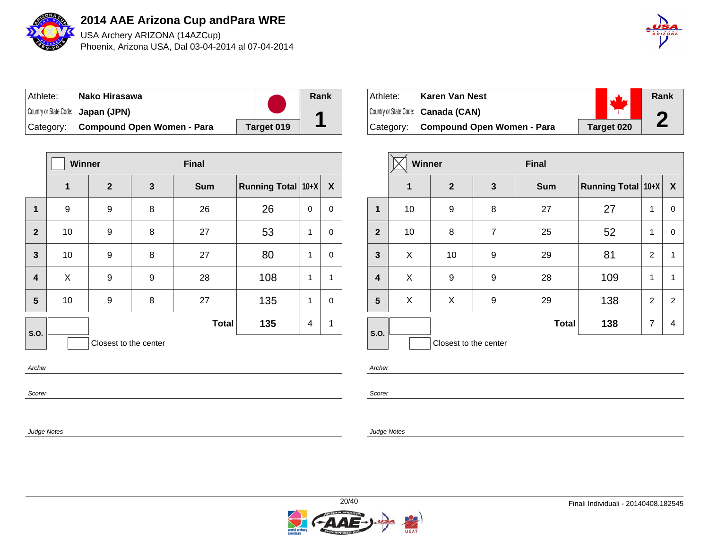

USA Archery ARIZONA (14AZCup) Phoenix, Arizona USA, Dal 03-04-2014 al 07-04-2014



| Athlete:  | Nako Hirasawa                      |            | Rank |
|-----------|------------------------------------|------------|------|
|           | Country or State Code: Japan (JPN) |            |      |
| Category: | <b>Compound Open Women - Para</b>  | Target 019 |      |

|                                 | <b>Winner</b> |                | <b>Final</b> |              |                    |              |             |  |
|---------------------------------|---------------|----------------|--------------|--------------|--------------------|--------------|-------------|--|
|                                 | 1             | $\overline{2}$ | $\mathbf{3}$ | <b>Sum</b>   | Running Total 10+X |              | X           |  |
| $\mathbf 1$                     | 9             | 9              | 8            | 26           | 26                 | 0            | 0           |  |
| $\mathbf{2}$                    | 10            | 9              | 8            | 27           | 53                 | $\mathbf{1}$ | 0           |  |
| 3                               | 10            | 9              | 8            | 27           | 80                 | $\mathbf{1}$ | 0           |  |
| 4                               | X             | 9              | 9            | 28           | 108                | $\mathbf{1}$ | 1           |  |
| 5                               | 10            | 9              | 8            | 27           | 135                | 1            | $\mathsf 0$ |  |
| S.O.                            |               |                |              | <b>Total</b> | 135                | 4            | 1           |  |
| Closest to the center<br>Archer |               |                |              |              |                    |              |             |  |

| Athlete: | Karen Van Nest                       |            | Rank |
|----------|--------------------------------------|------------|------|
|          | Country or State Code: Canada (CAN)  |            | σ    |
|          | Category: Compound Open Women - Para | Target 020 |      |

|                         | <b>Winner</b> |                       |                | <b>Final</b> |                    |                |                |
|-------------------------|---------------|-----------------------|----------------|--------------|--------------------|----------------|----------------|
|                         | $\mathbf 1$   | $\overline{2}$        | $\mathbf{3}$   | <b>Sum</b>   | Running Total 10+X |                | X              |
| 1                       | 10            | 9                     | 8              | 27           | 27                 | 1              | 0              |
| $\overline{2}$          | 10            | 8                     | $\overline{7}$ | 25           | 52                 | $\mathbf{1}$   | $\mathbf 0$    |
| 3                       | X             | 10                    | 9              | 29           | 81                 | $\overline{2}$ | $\mathbf{1}$   |
| $\overline{\mathbf{4}}$ | X             | 9                     | 9              | 28           | 109                | 1              | $\mathbf{1}$   |
| 5                       | X             | X                     | 9              | 29           | 138                | $\overline{2}$ | $\overline{2}$ |
| S.O.                    |               |                       |                | <b>Total</b> | 138                | $\overline{7}$ | 4              |
|                         |               | Closest to the center |                |              |                    |                |                |

Archer

Scorer

Judge Notes

Scorer

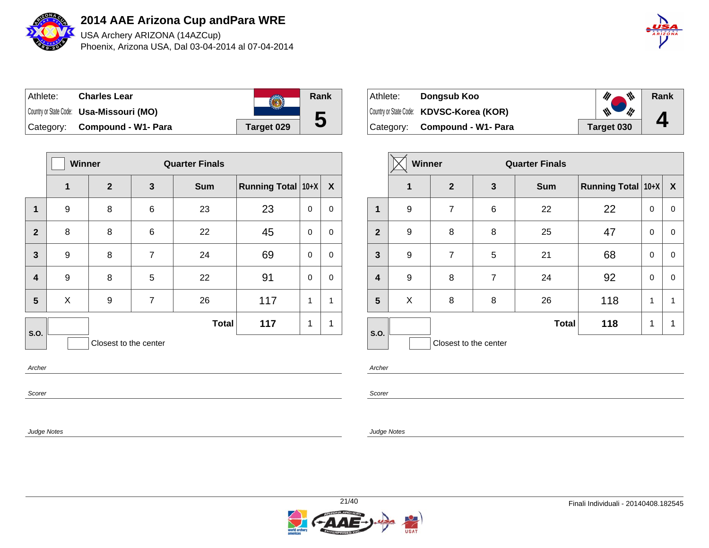

USA Archery ARIZONA (14AZCup) Phoenix, Arizona USA, Dal 03-04-2014 al 07-04-2014



| ⊺Athlete: | <b>Charles Lear</b>                      |            | <b>Rank</b> |
|-----------|------------------------------------------|------------|-------------|
|           | Country or State Code: Usa-Missouri (MO) |            |             |
|           | Category: Compound - W1- Para            | Target 029 | 5           |

|                | <b>Winner</b> |                       |                | <b>Quarter Finals</b> |                    |          |              |
|----------------|---------------|-----------------------|----------------|-----------------------|--------------------|----------|--------------|
|                | 1             | $\mathbf{2}$          | 3              | <b>Sum</b>            | Running Total 10+X |          | $\mathbf{X}$ |
| 1              | 9             | 8                     | 6              | 23                    | 23                 | 0        | 0            |
| $\overline{2}$ | 8             | 8                     | 6              | 22                    | 45                 | 0        | 0            |
| $\overline{3}$ | 9             | 8                     | $\overline{7}$ | 24                    | 69                 | $\Omega$ | 0            |
| 4              | 9             | 8                     | 5              | 22                    | 91                 | $\Omega$ | 0            |
| 5              | X             | 9                     | $\overline{7}$ | 26                    | 117                | 1        | 1            |
| S.O.           |               |                       |                | <b>Total</b>          | 117                | 1        | 1            |
|                |               | Closest to the center |                |                       |                    |          |              |
| Archer         |               |                       |                |                       |                    |          |              |

| Athlete:  | Dongsub Koo                              | ₩          | Rank         |
|-----------|------------------------------------------|------------|--------------|
|           | Country or State Code: KDVSC-Korea (KOR) | M          |              |
| Category: | Compound - W1- Para                      | Target 030 | $\mathbf{I}$ |

|                         | Winner |                       |                | <b>Quarter Finals</b> |                           |              |                           |
|-------------------------|--------|-----------------------|----------------|-----------------------|---------------------------|--------------|---------------------------|
|                         | 1      | $\mathbf{2}$          | 3              | <b>Sum</b>            | <b>Running Total 10+X</b> |              | $\boldsymbol{\mathsf{X}}$ |
| 1                       | 9      | 7                     | 6              | 22                    | 22                        | 0            | 0                         |
| $\overline{2}$          | 9      | 8                     | 8              | 25                    | 47                        | 0            | 0                         |
| 3                       | 9      | $\overline{7}$        | 5              | 21                    | 68                        | 0            | 0                         |
| $\overline{\mathbf{4}}$ | 9      | 8                     | $\overline{7}$ | 24                    | 92                        | 0            | 0                         |
| 5                       | X      | 8                     | 8              | 26                    | 118                       | $\mathbf{1}$ | 1                         |
| S.O.                    |        |                       |                | <b>Total</b>          | 118                       | 1            | 1                         |
|                         |        | Closest to the center |                |                       |                           |              |                           |

Archer

Scorer

Judge Notes

Scorer

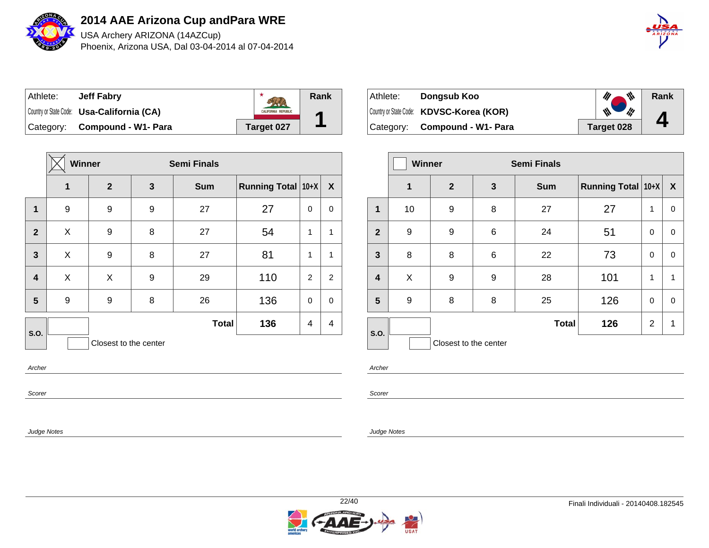

USA Archery ARIZONA (14AZCup) Phoenix, Arizona USA, Dal 03-04-2014 al 07-04-2014



| Athlete: | <b>Jeff Fabry</b>                                 |                            | Rank |
|----------|---------------------------------------------------|----------------------------|------|
|          | Country or State Code: <b>Usa-California (CA)</b> | <b>CALIFORNIA REPUBLIC</b> | Α    |
|          | Category: Compound - W1- Para                     | Target 027                 |      |

|                         | Winner                |              |   | <b>Semi Finals</b> |                    |                |              |
|-------------------------|-----------------------|--------------|---|--------------------|--------------------|----------------|--------------|
|                         | 1                     | $\mathbf{2}$ | 3 | <b>Sum</b>         | Running Total 10+X |                | X            |
| $\mathbf 1$             | 9                     | 9            | 9 | 27                 | 27                 | 0              | 0            |
| $\overline{2}$          | X                     | 9            | 8 | 27                 | 54                 | 1              | $\mathbf{1}$ |
| $\mathbf{3}$            | X                     | 9            | 8 | 27                 | 81                 | 1              | $\mathbf{1}$ |
| $\overline{\mathbf{4}}$ | X                     | X            | 9 | 29                 | 110                | $\overline{2}$ | 2            |
| $5\phantom{1}$          | 9                     | 9            | 8 | 26                 | 136                | 0              | $\pmb{0}$    |
| S.O.                    |                       |              |   | <b>Total</b>       | 136                | 4              | 4            |
|                         | Closest to the center |              |   |                    |                    |                |              |
| Archer                  |                       |              |   |                    |                    |                |              |

| ∣ Athlete: i | Dongsub Koo                              | ₩          | Rank         |
|--------------|------------------------------------------|------------|--------------|
|              | Country or State Code: KDVSC-Korea (KOR) | i¦!<br>W   |              |
|              | Category: Compound - W1- Para            | Target 028 | $\mathbf{H}$ |

|                | <b>Winner</b> |                       |              | <b>Semi Finals</b> |                           |                |                  |
|----------------|---------------|-----------------------|--------------|--------------------|---------------------------|----------------|------------------|
|                | 1             | $\mathbf{2}$          | $\mathbf{3}$ | <b>Sum</b>         | <b>Running Total 10+X</b> |                | $\boldsymbol{X}$ |
| 1              | 10            | 9                     | 8            | 27                 | 27                        | 1              | 0                |
| $\overline{2}$ | 9             | 9                     | 6            | 24                 | 51                        | $\Omega$       | 0                |
| $\mathbf{3}$   | 8             | 8                     | 6            | 22                 | 73                        | $\Omega$       | 0                |
| $\overline{4}$ | X             | 9                     | 9            | 28                 | 101                       | 1              | 1                |
| 5              | 9             | 8                     | 8            | 25                 | 126                       | 0              | 0                |
| S.O.           |               |                       |              | <b>Total</b>       | 126                       | $\overline{2}$ | 1                |
|                |               | Closest to the center |              |                    |                           |                |                  |

Archer

Scorer

Judge Notes

Scorer

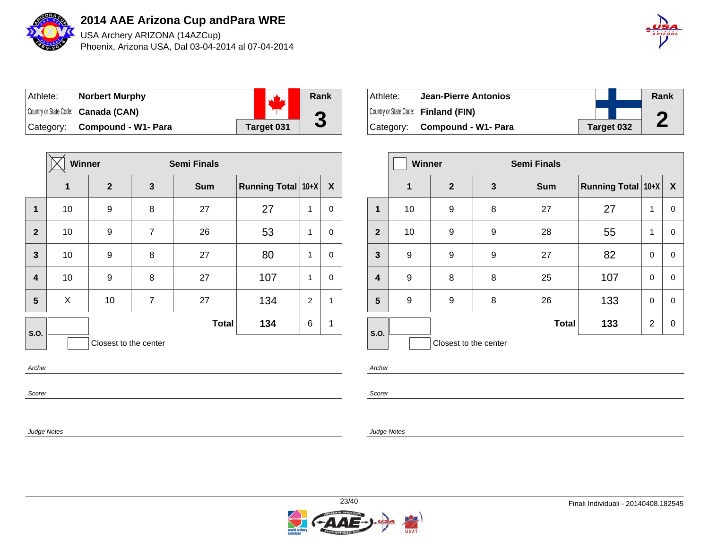

USA Archery ARIZONA (14AZCup) Phoenix, Arizona USA, Dal 03-04-2014 al 07-04-2014



| ⊺Athlete: | <b>Norbert Murphy</b>               |            | Rank      |
|-----------|-------------------------------------|------------|-----------|
|           | Country or State Code: Canada (CAN) |            | $\bullet$ |
|           | Category: Compound - W1- Para       | Target 031 | J         |

|                | Winner                |                  |                | <b>Semi Finals</b> |                           |                |                  |  |
|----------------|-----------------------|------------------|----------------|--------------------|---------------------------|----------------|------------------|--|
|                | 1                     | $\boldsymbol{2}$ | 3              | <b>Sum</b>         | <b>Running Total 10+X</b> |                | $\boldsymbol{X}$ |  |
| $\mathbf 1$    | 10                    | 9                | 8              | 27                 | 27                        | 1              | 0                |  |
| $\overline{2}$ | 10                    | 9                | $\overline{7}$ | 26                 | 53                        | 1              | 0                |  |
| $\mathbf{3}$   | 10                    | 9                | 8              | 27                 | 80                        | 1              | 0                |  |
| 4              | 10                    | 9                | 8              | 27                 | 107                       | 1              | 0                |  |
| 5              | X                     | 10               | $\overline{7}$ | 27                 | 134                       | $\overline{2}$ | 1                |  |
| S.O.           |                       |                  |                | <b>Total</b>       | 134                       | 6              | 1                |  |
|                | Closest to the center |                  |                |                    |                           |                |                  |  |
| Archer         |                       |                  |                |                    |                           |                |                  |  |

Scorer

Judge Notes

| Athlete: | Jean-Pierre Antonios                 |  |            | Rank |
|----------|--------------------------------------|--|------------|------|
|          | Country or State Code: Finland (FIN) |  |            |      |
|          | Category: Compound - W1- Para        |  | Target 032 |      |

|                         | <b>Winner</b> |                       |   | <b>Semi Finals</b> |                    |          |                  |
|-------------------------|---------------|-----------------------|---|--------------------|--------------------|----------|------------------|
|                         | 1             | $\mathbf{2}$          | 3 | <b>Sum</b>         | Running Total 10+X |          | $\boldsymbol{X}$ |
| 1                       | 10            | 9                     | 8 | 27                 | 27                 | 1        | 0                |
| $\overline{2}$          | 10            | 9                     | 9 | 28                 | 55                 | 1        | 0                |
| $\overline{\mathbf{3}}$ | 9             | 9                     | 9 | 27                 | 82                 | $\Omega$ | 0                |
| 4                       | 9             | 8                     | 8 | 25                 | 107                | $\Omega$ | 0                |
| $5\phantom{.0}$         | 9             | 9                     | 8 | 26                 | 133                | $\Omega$ | $\mathbf 0$      |
|                         |               |                       |   | <b>Total</b>       | 133                | 2        | $\pmb{0}$        |
| <b>S.O.</b>             |               | Closest to the center |   |                    |                    |          |                  |

Archer

Scorer

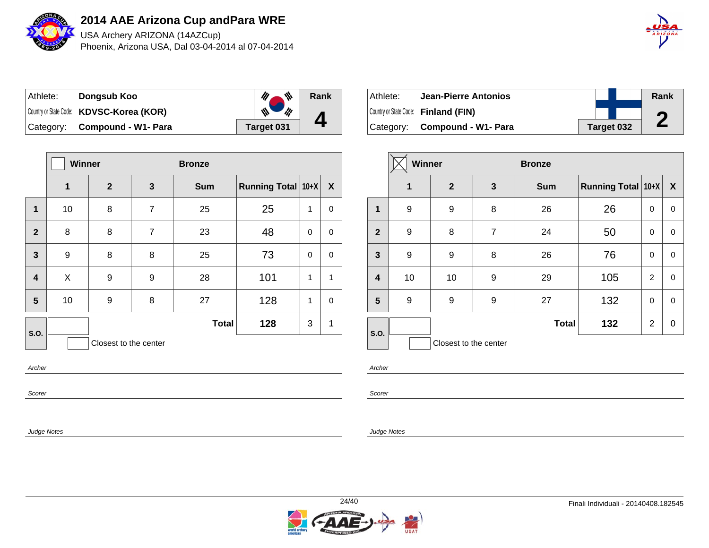

USA Archery ARIZONA (14AZCup) Phoenix, Arizona USA, Dal 03-04-2014 al 07-04-2014



| Athlete: | Dongsub Koo                              | 带          | Rank |
|----------|------------------------------------------|------------|------|
|          | Country or State Code: KDVSC-Korea (KOR) | 版          |      |
|          | Category: Compound - W1- Para            | Target 031 |      |

|                         | <b>Winner</b> |                       |   | <b>Bronze</b> |                           |   |              |
|-------------------------|---------------|-----------------------|---|---------------|---------------------------|---|--------------|
|                         | 1             | $\mathbf{2}$          | 3 | <b>Sum</b>    | <b>Running Total 10+X</b> |   | $\mathbf{X}$ |
| 1                       | 10            | 8                     | 7 | 25            | 25                        | 1 | 0            |
| $\overline{2}$          | 8             | 8                     | 7 | 23            | 48                        | 0 | 0            |
| $\mathbf{3}$            | 9             | 8                     | 8 | 25            | 73                        | 0 | 0            |
| $\overline{\mathbf{4}}$ | X             | 9                     | 9 | 28            | 101                       | 1 | $\mathbf{1}$ |
| 5                       | 10            | 9                     | 8 | 27            | 128                       | 1 | 0            |
| S.O.                    |               |                       |   | <b>Total</b>  | 128                       | 3 | 1            |
|                         |               | Closest to the center |   |               |                           |   |              |
| Archer                  |               |                       |   |               |                           |   |              |

| ⊺Athlete: | Jean-Pierre Antonios                 |  |            | Rank |
|-----------|--------------------------------------|--|------------|------|
|           | Country or State Code: Finland (FIN) |  |            |      |
|           | Category: Compound - W1- Para        |  | Target 032 | L    |

|                         | <b>Winner</b> |                       |                | <b>Bronze</b> |                           |                |                  |
|-------------------------|---------------|-----------------------|----------------|---------------|---------------------------|----------------|------------------|
|                         | $\mathbf{1}$  | $\overline{2}$        | $\mathbf{3}$   | <b>Sum</b>    | <b>Running Total 10+X</b> |                | $\boldsymbol{X}$ |
| $\mathbf{1}$            | 9             | 9                     | 8              | 26            | 26                        | 0              | 0                |
| $\overline{2}$          | 9             | 8                     | $\overline{7}$ | 24            | 50                        | 0              | 0                |
| $\mathbf{3}$            | 9             | $\boldsymbol{9}$      | 8              | 26            | 76                        | 0              | 0                |
| $\overline{\mathbf{4}}$ | 10            | 10                    | 9              | 29            | 105                       | $\overline{2}$ | $\mathbf 0$      |
| 5                       | 9             | 9                     | 9              | 27            | 132                       | 0              | $\mathbf 0$      |
| S.O.                    |               |                       |                | <b>Total</b>  | 132                       | $\overline{2}$ | 0                |
|                         |               | Closest to the center |                |               |                           |                |                  |

Archer

Scorer

Judge Notes

Scorer

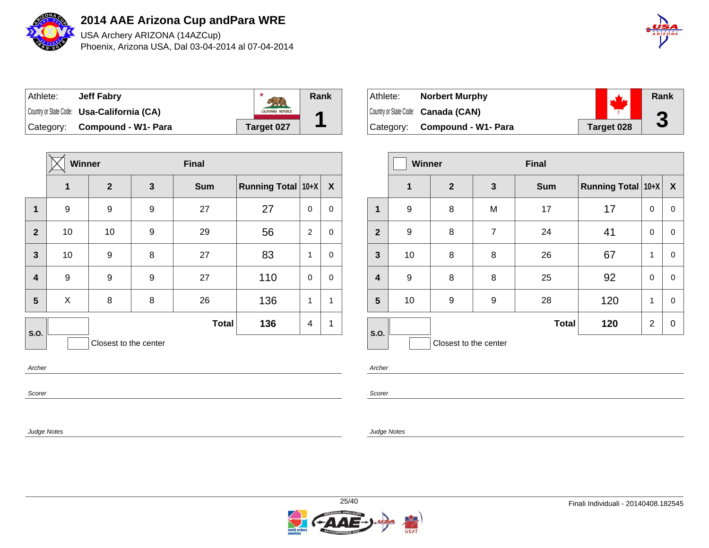

USA Archery ARIZONA (14AZCup) Phoenix, Arizona USA, Dal 03-04-2014 al 07-04-2014



| ⊺Athlete: | <b>Jeff Fabry</b>                                 |                            | Rank |
|-----------|---------------------------------------------------|----------------------------|------|
|           | Country or State Code: <b>Usa-California (CA)</b> | <b>CALIFORNIA REPUBLIC</b> |      |
|           | Category: Compound - W1- Para                     | Target 027                 |      |

|                         | <b>Winner</b> |                       |              | <b>Final</b> |                           |                |              |
|-------------------------|---------------|-----------------------|--------------|--------------|---------------------------|----------------|--------------|
|                         | 1             | $\mathbf{2}$          | $\mathbf{3}$ | <b>Sum</b>   | <b>Running Total 10+X</b> |                | X            |
| $\mathbf 1$             | 9             | 9                     | 9            | 27           | 27                        | $\mathbf 0$    | 0            |
| $\overline{2}$          | 10            | 10                    | 9            | 29           | 56                        | $\overline{2}$ | 0            |
| $\mathbf{3}$            | 10            | 9                     | 8            | 27           | 83                        | 1              | 0            |
| $\overline{\mathbf{4}}$ | 9             | 9                     | 9            | 27           | 110                       | 0              | 0            |
| 5                       | X             | 8                     | 8            | 26           | 136                       | 1              | $\mathbf{1}$ |
| S.O.                    |               |                       |              | <b>Total</b> | 136                       | 4              | 1            |
|                         |               | Closest to the center |              |              |                           |                |              |
| Archer                  |               |                       |              |              |                           |                |              |

Scorer

Judge Notes

| Athlete: | <b>Norbert Murphy</b>               |            | Rank      |
|----------|-------------------------------------|------------|-----------|
|          | Country or State Code: Canada (CAN) |            | $\bullet$ |
|          | Category: Compound - W1- Para       | Target 028 | J         |

|                         | <b>Winner</b> |                       |                | <b>Final</b> |                    |                |             |
|-------------------------|---------------|-----------------------|----------------|--------------|--------------------|----------------|-------------|
|                         | 1             | $\overline{2}$        | $\mathbf{3}$   | <b>Sum</b>   | Running Total 10+X |                | X           |
| 1                       | 9             | 8                     | M              | 17           | 17                 | $\mathbf 0$    | $\mathbf 0$ |
| $\overline{2}$          | 9             | 8                     | $\overline{7}$ | 24           | 41                 | 0              | $\pmb{0}$   |
| $\mathbf{3}$            | 10            | 8                     | 8              | 26           | 67                 | $\mathbf 1$    | $\mathbf 0$ |
| $\overline{\mathbf{4}}$ | 9             | 8                     | 8              | 25           | 92                 | $\Omega$       | $\mathbf 0$ |
| $5\phantom{1}$          | 10            | 9                     | 9              | 28           | 120                | 1              | $\mathbf 0$ |
| S.O.                    |               |                       |                | <b>Total</b> | 120                | $\overline{2}$ | $\pmb{0}$   |
|                         |               | Closest to the center |                |              |                    |                |             |

Archer

Scorer

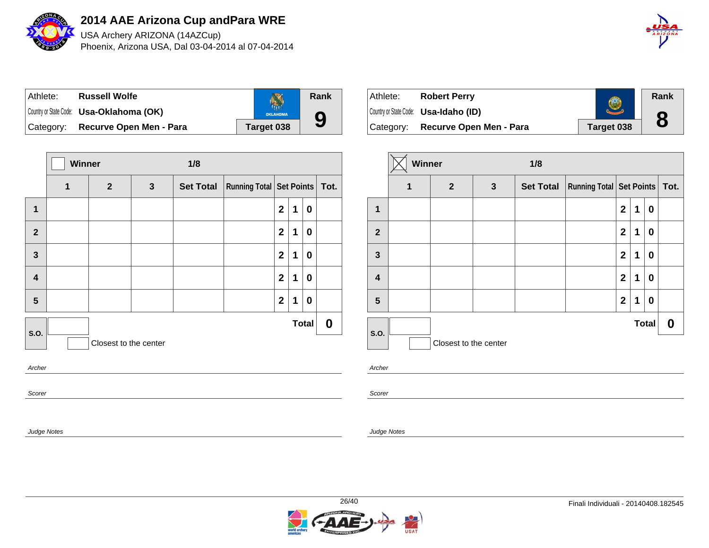

Judge Notes

**2014 AAE Arizona Cup and Para WRE**

USA Archery ARIZONA (14AZCup) Phoenix, Arizona USA, Dal 03-04-2014 al 07-04-2014



| ⊺Athlete: | <b>Russell Wolfe</b>                            |                 | Rank |
|-----------|-------------------------------------------------|-----------------|------|
|           | Country or State Code: <b>Usa-Oklahoma (OK)</b> | <b>OKLAHOMA</b> |      |
| Category: | Recurve Open Men - Para                         | Target 038      | 9    |

|                         | Winner |                       |              | 1/8              |                                   |                |             |              |                  |
|-------------------------|--------|-----------------------|--------------|------------------|-----------------------------------|----------------|-------------|--------------|------------------|
|                         | 1      | $\mathbf{2}$          | $\mathbf{3}$ | <b>Set Total</b> | Running Total   Set Points   Tot. |                |             |              |                  |
| $\mathbf{1}$            |        |                       |              |                  |                                   | $\mathbf{2}$   | 1           | 0            |                  |
| $\mathbf{2}$            |        |                       |              |                  |                                   | $\mathbf{2}$   | 1           | $\bf{0}$     |                  |
| $\overline{\mathbf{3}}$ |        |                       |              |                  |                                   | $\mathbf{2}$   | $\mathbf 1$ | $\bf{0}$     |                  |
| $\overline{\mathbf{4}}$ |        |                       |              |                  |                                   | $\overline{2}$ | $\mathbf 1$ | 0            |                  |
| 5                       |        |                       |              |                  |                                   | $\mathbf 2$    | 1           | 0            |                  |
| S.O.                    |        | Closest to the center |              |                  |                                   |                |             | <b>Total</b> | $\boldsymbol{0}$ |
| Archer                  |        |                       |              |                  |                                   |                |             |              |                  |
| Scorer                  |        |                       |              |                  |                                   |                |             |              |                  |

| Athlete:  | <b>Robert Perry</b>                          |            | Rank |
|-----------|----------------------------------------------|------------|------|
|           | Country or State Code: <b>Usa-Idaho (ID)</b> |            |      |
| Category: | <b>Recurve Open Men - Para</b>               | Target 038 | 8    |

|                | Winner |                       |              | 1/8              |                                      |              |   |              |   |
|----------------|--------|-----------------------|--------------|------------------|--------------------------------------|--------------|---|--------------|---|
|                | 1      | $\overline{2}$        | $\mathbf{3}$ | <b>Set Total</b> | <b>Running Total Set Points Tot.</b> |              |   |              |   |
| 1              |        |                       |              |                  |                                      | $\mathbf{2}$ | 1 | 0            |   |
| $\overline{2}$ |        |                       |              |                  |                                      | $\mathbf{2}$ | 1 | 0            |   |
| 3              |        |                       |              |                  |                                      | $\mathbf{2}$ | 1 | 0            |   |
| 4              |        |                       |              |                  |                                      | $\mathbf{2}$ | 1 | 0            |   |
| 5              |        |                       |              |                  |                                      | $\mathbf{2}$ | 1 | 0            |   |
| S.O.           |        |                       |              |                  |                                      |              |   | <b>Total</b> | 0 |
|                |        | Closest to the center |              |                  |                                      |              |   |              |   |

Archer

Scorer

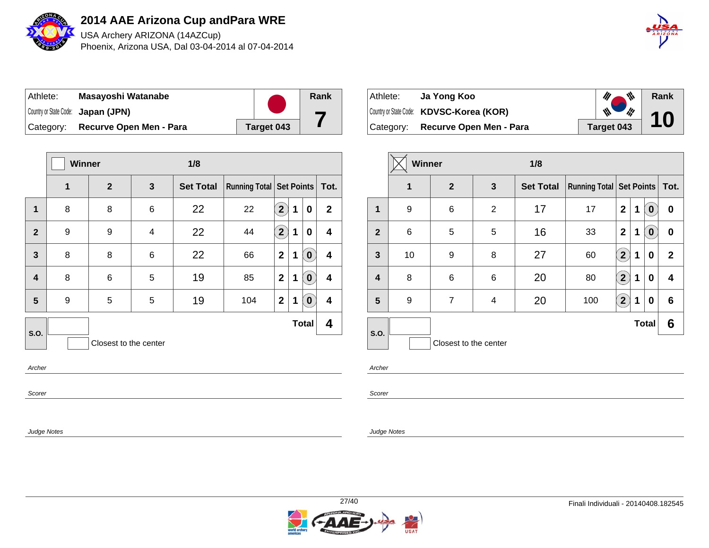

USA Archery ARIZONA (14AZCup) Phoenix, Arizona USA, Dal 03-04-2014 al 07-04-2014



| ⊺Athlete: | Masayoshi Watanabe                 |            | Rank |
|-----------|------------------------------------|------------|------|
|           | Country or State Code: Japan (JPN) |            |      |
| Category: | Recurve Open Men - Para            | Target 043 |      |

|                         | <b>Winner</b> |                       |   | 1/8              |                               |                            |   |              |                         |
|-------------------------|---------------|-----------------------|---|------------------|-------------------------------|----------------------------|---|--------------|-------------------------|
|                         | 1             | $\overline{2}$        | 3 | <b>Set Total</b> | Running Total Set Points Tot. |                            |   |              |                         |
| $\mathbf 1$             | 8             | 8                     | 6 | 22               | 22                            | $\mathbf{2}$               | 1 | 0            | $\mathbf{2}$            |
| $\overline{2}$          | 9             | 9                     | 4 | 22               | 44                            | $\left( \mathbf{2}\right)$ | 1 | 0            | 4                       |
| $\mathbf{3}$            | 8             | 8                     | 6 | 22               | 66                            | $\overline{2}$             | 1 | $\pmb{0}$    | $\overline{\mathbf{4}}$ |
| $\overline{\mathbf{4}}$ | 8             | 6                     | 5 | 19               | 85                            | $\mathbf{2}$               | 1 | $\mathbf 0$  | $\overline{\mathbf{4}}$ |
| 5                       | 9             | 5                     | 5 | 19               | 104                           | $\overline{2}$             | 1 | $\bf{0}$     | $\overline{\mathbf{4}}$ |
| S.O.                    |               |                       |   |                  |                               |                            |   | <b>Total</b> | 4                       |
|                         |               | Closest to the center |   |                  |                               |                            |   |              |                         |
| Archer                  |               |                       |   |                  |                               |                            |   |              |                         |
| Scorer                  |               |                       |   |                  |                               |                            |   |              |                         |

| Athlete:  | Ja Yong Koo                              | $\mathscr{U}$ $\mathscr{V}$              | Rank |
|-----------|------------------------------------------|------------------------------------------|------|
|           | Country or State Code: KDVSC-Korea (KOR) | $\mathscr{M}_{\bullet}$<br>$\frac{1}{2}$ | 10   |
| Category: | Recurve Open Men - Para                  | Target 043                               |      |

|                         | Winner |                       | 1/8            |                  |                                 |                       |             |                  |             |
|-------------------------|--------|-----------------------|----------------|------------------|---------------------------------|-----------------------|-------------|------------------|-------------|
|                         | 1      | $\mathbf{2}$          | $\mathbf{3}$   | <b>Set Total</b> | <b>Running Total Set Points</b> |                       |             |                  | Tot.        |
| 1                       | 9      | 6                     | $\overline{2}$ | 17               | 17                              | $\mathbf 2$           | $\mathbf 1$ | $\bf{0}$         | 0           |
| $\mathbf{2}$            | 6      | 5                     | 5              | 16               | 33                              | $\mathbf 2$           | 1           | $\boldsymbol{0}$ | 0           |
| $\overline{\mathbf{3}}$ | 10     | 9                     | 8              | 27               | 60                              | $\mathbf{2}^{\prime}$ | 1           | $\bf{0}$         | $\mathbf 2$ |
| $\overline{\mathbf{4}}$ | 8      | 6                     | 6              | 20               | 80                              | $\mathbf{2}$          | 1           | $\bf{0}$         | 4           |
| 5                       | 9      | $\overline{7}$        | 4              | 20               | 100                             | 2 <sup>1</sup>        | 1           | 0                | 6           |
| <b>S.O.</b>             |        |                       |                |                  |                                 |                       |             | <b>Total</b>     | 6           |
|                         |        | Closest to the center |                |                  |                                 |                       |             |                  |             |

Archer

Scorer

Judge Notes

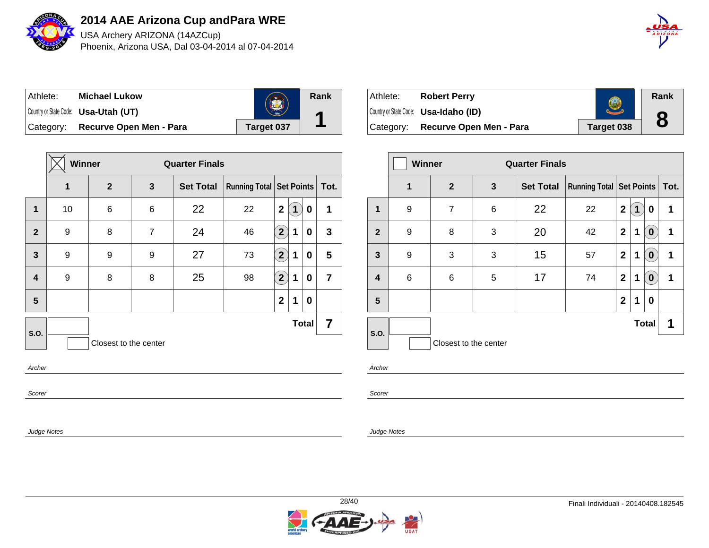

USA Archery ARIZONA (14AZCup) Phoenix, Arizona USA, Dal 03-04-2014 al 07-04-2014



| ⊺Athlete: | <b>Michael Lukow</b>                        |            | Rank |
|-----------|---------------------------------------------|------------|------|
|           | Country or State Code: <b>Usa-Utah (UT)</b> | 1896       | А    |
| Category: | Recurve Open Men - Para                     | Target 037 |      |

|                         | <b>Winner</b> |                       |              | <b>Quarter Finals</b> |                                   |                            |             |                  |                |
|-------------------------|---------------|-----------------------|--------------|-----------------------|-----------------------------------|----------------------------|-------------|------------------|----------------|
|                         | 1             | $\boldsymbol{2}$      | $\mathbf{3}$ | <b>Set Total</b>      | Running Total   Set Points   Tot. |                            |             |                  |                |
| 1                       | 10            | 6                     | 6            | 22                    | 22                                | $\overline{2}$             | $\mathbf 1$ | 0                | 1              |
| $\overline{2}$          | 9             | 8                     | 7            | 24                    | 46                                | $\left( \mathbf{2}\right)$ | 1           | 0                | $\mathbf{3}$   |
| $\mathbf{3}$            | 9             | 9                     | 9            | 27                    | 73                                | $\widehat{2}$              | 1           | 0                | 5              |
| $\overline{\mathbf{4}}$ | 9             | 8                     | 8            | 25                    | 98                                | $\left( \mathbf{2}\right)$ | 1           | 0                | $\overline{7}$ |
| $5\phantom{1}$          |               |                       |              |                       |                                   | $\mathbf{2}$               | 1           | $\boldsymbol{0}$ |                |
| S.O.                    |               |                       |              |                       |                                   |                            |             | <b>Total</b>     | 7              |
|                         |               | Closest to the center |              |                       |                                   |                            |             |                  |                |
| Archer                  |               |                       |              |                       |                                   |                            |             |                  |                |
| Scorer                  |               |                       |              |                       |                                   |                            |             |                  |                |

| ⊺Athlete: | <b>Robert Perry</b>                          |            | Rank |
|-----------|----------------------------------------------|------------|------|
|           | Country or State Code: <b>Usa-Idaho (ID)</b> |            |      |
|           | Category: Recurve Open Men - Para            | Target 038 |      |

|              | Winner       |                       |              | <b>Quarter Finals</b> |                                 |              |   |              |      |  |
|--------------|--------------|-----------------------|--------------|-----------------------|---------------------------------|--------------|---|--------------|------|--|
|              | $\mathbf{1}$ | $\mathbf{2}$          | $\mathbf{3}$ | <b>Set Total</b>      | <b>Running Total Set Points</b> |              |   |              | Tot. |  |
| 1            | 9            | $\overline{7}$        | 6            | 22                    | 22                              | $\mathbf{2}$ | 1 | 0            | 1    |  |
| $\mathbf{2}$ | 9            | 8                     | 3            | 20                    | 42                              | $\mathbf{2}$ | 1 | $\mathbf 0$  | 1    |  |
| 3            | 9            | 3                     | 3            | 15                    | 57                              | $\mathbf 2$  | 1 | $\mathbf 0$  | 1    |  |
| 4            | 6            | 6                     | 5            | 17                    | 74                              | $\mathbf{2}$ | 1 | $\pmb{0}$    | 1    |  |
| 5            |              |                       |              |                       |                                 | $\mathbf{2}$ | 1 | 0            |      |  |
| S.O.         |              |                       |              |                       |                                 |              |   | <b>Total</b> | 1    |  |
|              |              | Closest to the center |              |                       |                                 |              |   |              |      |  |

Archer

Scorer

Judge Notes

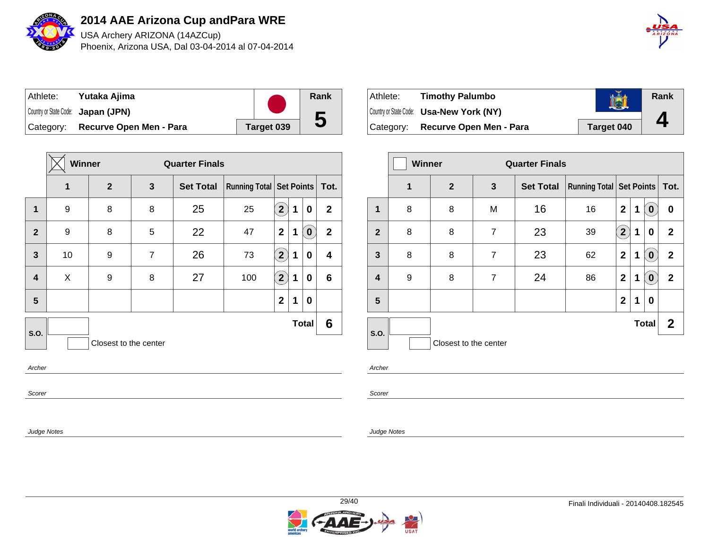

USA Archery ARIZONA (14AZCup) Phoenix, Arizona USA, Dal 03-04-2014 al 07-04-2014



| Athlete:  | Yutaka Ajima                       |            | Rank |
|-----------|------------------------------------|------------|------|
|           | Country or State Code: Japan (JPN) |            |      |
| Category: | Recurve Open Men - Para            | Target 039 | b    |

|                  | Winner |                       | <b>Quarter Finals</b> |                  |     |                                   |   |              |              |
|------------------|--------|-----------------------|-----------------------|------------------|-----|-----------------------------------|---|--------------|--------------|
|                  | 1      | $\mathbf{2}$          | 3                     | <b>Set Total</b> |     | Running Total   Set Points   Tot. |   |              |              |
| $\mathbf{1}$     | 9      | 8                     | 8                     | 25               | 25  | $\left( \mathbf{2}\right)$        | 1 | 0            | $\mathbf{2}$ |
| $\overline{2}$   | 9      | 8                     | 5                     | 22               | 47  | $\mathbf{2}$                      | 1 | $\mathbf 0$  | $\mathbf{2}$ |
| $\mathbf{3}$     | 10     | 9                     | $\overline{7}$        | 26               | 73  | $\mathbf{\hat{2}}$                | 1 | 0            | 4            |
| $\boldsymbol{4}$ | X      | 9                     | 8                     | 27               | 100 | $\bf (2)$                         | 1 | 0            | 6            |
| $5\phantom{1}$   |        |                       |                       |                  |     | $\mathbf{2}$                      | 1 | 0            |              |
| S.O.             |        |                       |                       |                  |     |                                   |   | <b>Total</b> | 6            |
|                  |        | Closest to the center |                       |                  |     |                                   |   |              |              |
| Archer           |        |                       |                       |                  |     |                                   |   |              |              |
| Scorer           |        |                       |                       |                  |     |                                   |   |              |              |

| ⊦Athlete: | <b>Timothy Palumbo</b>                          |            | Rank |
|-----------|-------------------------------------------------|------------|------|
|           | Country or State Code: <b>Usa-New York (NY)</b> |            |      |
| Category: | <b>Recurve Open Men - Para</b>                  | Target 040 |      |

|              | <b>Winner</b> |                       |                | <b>Quarter Finals</b> |                                 |                               |   |                  |                |
|--------------|---------------|-----------------------|----------------|-----------------------|---------------------------------|-------------------------------|---|------------------|----------------|
|              | 1             | $\mathbf{2}$          | $\mathbf{3}$   | <b>Set Total</b>      | <b>Running Total Set Points</b> |                               |   |                  | Tot.           |
| $\mathbf{1}$ | 8             | 8                     | M              | 16                    | 16                              | $\mathbf 2$                   | 1 | $\bf{0}$         | 0              |
| $\mathbf{2}$ | 8             | 8                     | $\overline{7}$ | 23                    | 39                              | $\mathbf{2}^{\mathbf{\cdot}}$ | 1 | $\bf{0}$         | $\overline{2}$ |
| $\mathbf{3}$ | 8             | 8                     | $\overline{7}$ | 23                    | 62                              | $\mathbf 2$                   | 1 | $\pmb{0}$        | $\mathbf 2$    |
| 4            | 9             | 8                     | $\overline{7}$ | 24                    | 86                              | $\mathbf{2}$                  | 1 | $\boldsymbol{0}$ | $\mathbf 2$    |
| 5            |               |                       |                |                       |                                 | $\mathbf{2}$                  | 1 | $\bf{0}$         |                |
| S.O.         |               |                       |                |                       |                                 |                               |   | <b>Total</b>     | $\mathbf{2}$   |
|              |               | Closest to the center |                |                       |                                 |                               |   |                  |                |

Archer

Scorer

Judge Notes

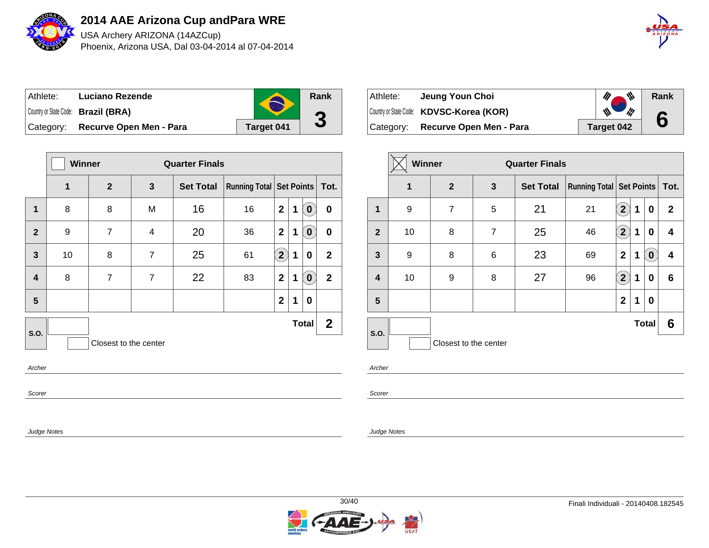

USA Archery ARIZONA (14AZCup) Phoenix, Arizona USA, Dal 03-04-2014 al 07-04-2014



| Athlete: | Luciano Rezende                     |            | Rank      |
|----------|-------------------------------------|------------|-----------|
|          | Country or State Code: Brazil (BRA) |            | $\bullet$ |
|          | Category: Recurve Open Men - Para   | Target 041 | J         |

|                         | Winner |                       |                | <b>Quarter Finals</b> |                                   |                |   |              |              |
|-------------------------|--------|-----------------------|----------------|-----------------------|-----------------------------------|----------------|---|--------------|--------------|
|                         | 1      | $\mathbf{2}$          | 3              | <b>Set Total</b>      | Running Total   Set Points   Tot. |                |   |              |              |
| $\mathbf{1}$            | 8      | 8                     | M              | 16                    | 16                                | $\mathbf{2}$   | 1 | $\bullet$    | $\mathbf 0$  |
| $\overline{2}$          | 9      | $\overline{7}$        | 4              | 20                    | 36                                | $\mathbf{2}$   | 1 | $\bf{0}$     | 0            |
| $\mathbf{3}$            | 10     | 8                     | 7              | 25                    | 61                                | $\overline{2}$ | 1 | 0            | $\mathbf{2}$ |
| $\overline{\mathbf{4}}$ | 8      | $\overline{7}$        | $\overline{7}$ | 22                    | 83                                | $\overline{2}$ | 1 | $\pmb{0}$    | $\mathbf{2}$ |
| 5                       |        |                       |                |                       |                                   | $\mathbf{2}$   | 1 | 0            |              |
| S.O.                    |        |                       |                |                       |                                   |                |   | <b>Total</b> | $\mathbf{2}$ |
|                         |        | Closest to the center |                |                       |                                   |                |   |              |              |
| Archer                  |        |                       |                |                       |                                   |                |   |              |              |
| Scorer                  |        |                       |                |                       |                                   |                |   |              |              |

| Athlete: | Jeung Youn Choi                          | $\mathscr{U}$ $\mathscr{N}$                         | Rank |
|----------|------------------------------------------|-----------------------------------------------------|------|
|          | Country or State Code: KDVSC-Korea (KOR) | $\mathscr{M}_{\bullet}$<br>a di grande della condia | 6    |
|          | Category: Recurve Open Men - Para        | Target 042                                          |      |

|                         | <b>Winner</b> |                       |                | <b>Quarter Finals</b> |                            |                |   |              |              |
|-------------------------|---------------|-----------------------|----------------|-----------------------|----------------------------|----------------|---|--------------|--------------|
|                         | 1             | 2 <sup>2</sup>        | 3              | <b>Set Total</b>      | Running Total   Set Points |                |   |              | Tot.         |
| 1                       | 9             | $\overline{7}$        | 5              | 21                    | 21                         | $2^{1}$        | 1 | 0            | $\mathbf{2}$ |
| $\mathbf{2}$            | 10            | 8                     | $\overline{7}$ | 25                    | 46                         | $\overline{2}$ | 1 | 0            | 4            |
| 3                       | 9             | 8                     | 6              | 23                    | 69                         | $\mathbf 2$    | 1 | $\bf{0}$     | 4            |
| $\overline{\mathbf{4}}$ | 10            | 9                     | 8              | 27                    | 96                         | $\mathbf{2}$   | 1 | 0            | 6            |
| 5                       |               |                       |                |                       |                            | $\overline{2}$ | 1 | 0            |              |
| S.O.                    |               |                       |                |                       |                            |                |   | <b>Total</b> | 6            |
|                         |               | Closest to the center |                |                       |                            |                |   |              |              |

Archer

Scorer

Judge Notes

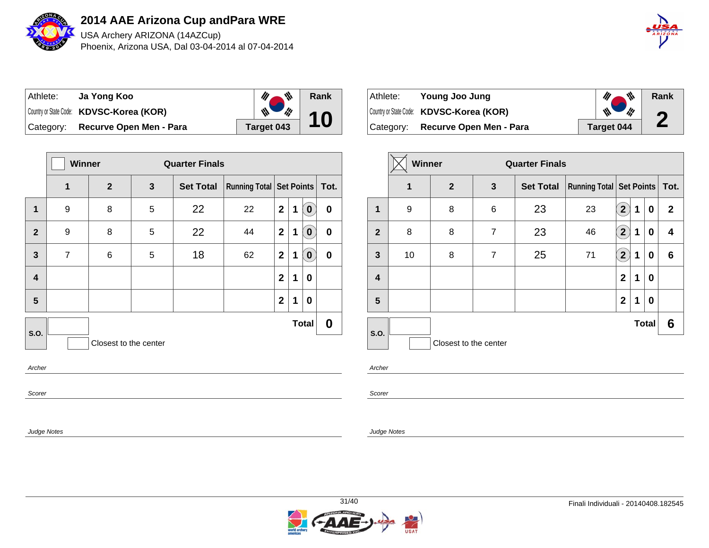

USA Archery ARIZONA (14AZCup) Phoenix, Arizona USA, Dal 03-04-2014 al 07-04-2014



| Athlete: | Ja Yong Koo                              | ₩          | Rank |
|----------|------------------------------------------|------------|------|
|          | Country or State Code: KDVSC-Korea (KOR) | ill        |      |
|          | Category: Recurve Open Men - Para        | Target 043 |      |

|                | <b>Winner</b>         |                |   | <b>Quarter Finals</b> |                               |                |   |              |             |  |
|----------------|-----------------------|----------------|---|-----------------------|-------------------------------|----------------|---|--------------|-------------|--|
|                | 1                     | $\overline{2}$ | 3 | <b>Set Total</b>      | Running Total Set Points Tot. |                |   |              |             |  |
| 1              | 9                     | 8              | 5 | 22                    | 22                            | $\overline{2}$ | 1 | $\mathbf 0$  | $\mathbf 0$ |  |
| $\overline{2}$ | 9                     | 8              | 5 | 22                    | 44                            | $\mathbf{2}$   | 1 | $\bullet$    | $\mathbf 0$ |  |
| 3              | $\overline{7}$        | 6              | 5 | 18                    | 62                            | $\mathbf{2}$   | 1 | $\bf{0}$     | $\mathbf 0$ |  |
| 4              |                       |                |   |                       |                               | $\mathbf{2}$   | 1 | 0            |             |  |
| 5              |                       |                |   |                       |                               | $\mathbf{2}$   | 1 | 0            |             |  |
| S.O.           |                       |                |   |                       |                               |                |   | <b>Total</b> | 0           |  |
|                | Closest to the center |                |   |                       |                               |                |   |              |             |  |
| Archer         |                       |                |   |                       |                               |                |   |              |             |  |
| Scorer         |                       |                |   |                       |                               |                |   |              |             |  |

| Athlete:  | Young Joo Jung                           | M ,<br>M,  | Rank      |
|-----------|------------------------------------------|------------|-----------|
|           | Country or State Code: KDVSC-Korea (KOR) | W<br>d Mi  | $\bullet$ |
| Category: | Recurve Open Men - Para                  | Target 044 | Ł         |

|              | <b>Winner</b> |                       |                | <b>Quarter Finals</b> |                            |                           |             |              |              |  |      |
|--------------|---------------|-----------------------|----------------|-----------------------|----------------------------|---------------------------|-------------|--------------|--------------|--|------|
|              | 1             | 2 <sup>2</sup>        | $\mathbf{3}$   | <b>Set Total</b>      | Running Total   Set Points |                           |             |              |              |  | Tot. |
| 1            | 9             | 8                     | 6              | 23                    | 23                         | $\mathbf{2}$              | 1           | 0            | $\mathbf{2}$ |  |      |
| $\mathbf{2}$ | 8             | 8                     | $\overline{7}$ | 23                    | 46                         | $\mathbf{2}^{\mathbf{1}}$ | 1           | 0            | 4            |  |      |
| $\mathbf{3}$ | 10            | 8                     | $\overline{7}$ | 25                    | 71                         | $\mathbf{2}^{\prime}$     | $\mathbf 1$ | 0            | 6            |  |      |
| 4            |               |                       |                |                       |                            | $\mathbf 2$               | 1           | 0            |              |  |      |
| 5            |               |                       |                |                       |                            | $\mathbf 2$               | 1           | 0            |              |  |      |
| S.O.         |               |                       |                |                       |                            |                           |             | <b>Total</b> | 6            |  |      |
|              |               | Closest to the center |                |                       |                            |                           |             |              |              |  |      |

Archer

Scorer

Judge Notes

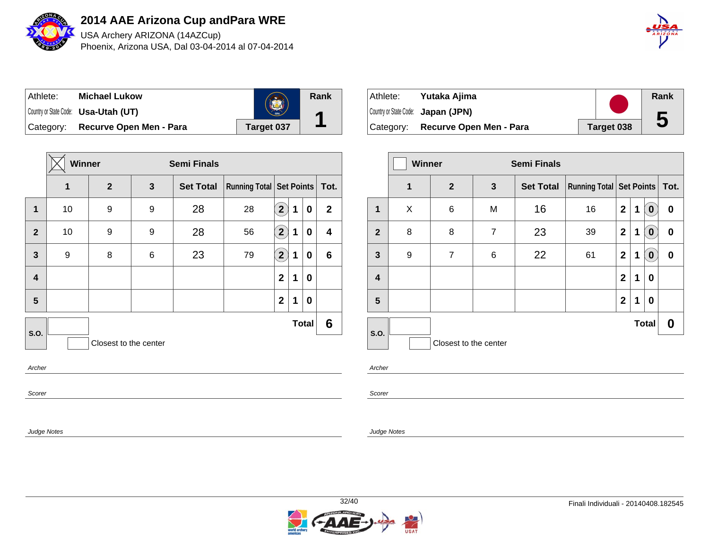

USA Archery ARIZONA (14AZCup) Phoenix, Arizona USA, Dal 03-04-2014 al 07-04-2014



| ⊺Athlete: | <b>Michael Lukow</b>                        |                   | Rank |
|-----------|---------------------------------------------|-------------------|------|
|           | Country or State Code: <b>Usa-Utah (UT)</b> | 1896              | А    |
|           | Category: Recurve Open Men - Para           | <b>Target 037</b> |      |

|                         | Winner |                       |   | <b>Semi Finals</b> |                                   |                                 |   |              |              |
|-------------------------|--------|-----------------------|---|--------------------|-----------------------------------|---------------------------------|---|--------------|--------------|
|                         | 1      | $\mathbf{2}$          | 3 | <b>Set Total</b>   | Running Total   Set Points   Tot. |                                 |   |              |              |
| 1                       | 10     | 9                     | 9 | 28                 | 28                                | $\mathbf{2}^{\mathbf{\degree}}$ | 1 | 0            | $\mathbf{2}$ |
| $\overline{2}$          | 10     | 9                     | 9 | 28                 | 56                                | $\left( \mathbf{2}\right)$      | 1 | 0            | 4            |
| 3                       | 9      | 8                     | 6 | 23                 | 79                                | $\left( \mathbf{2}\right)$      | 1 | 0            | 6            |
| $\overline{\mathbf{4}}$ |        |                       |   |                    |                                   | $\mathbf 2$                     | 1 | 0            |              |
| 5                       |        |                       |   |                    |                                   | $\mathbf{2}$                    | 1 | 0            |              |
| S.O.                    |        |                       |   |                    |                                   |                                 |   | <b>Total</b> | 6            |
|                         |        | Closest to the center |   |                    |                                   |                                 |   |              |              |
| Archer                  |        |                       |   |                    |                                   |                                 |   |              |              |
| Scorer                  |        |                       |   |                    |                                   |                                 |   |              |              |

Athlete: **Yutaka Ajima** Country or State Code: **Japan (JPN)** Category: **Recurve Open Men - Para Target 038 Rank 5**

|                |   | <b>Winner</b><br><b>Semi Finals</b> |                |                  |                            |              |   |                  |      |
|----------------|---|-------------------------------------|----------------|------------------|----------------------------|--------------|---|------------------|------|
|                | 1 | $\overline{2}$                      | 3              | <b>Set Total</b> | Running Total   Set Points |              |   |                  | Tot. |
| $\mathbf{1}$   | X | 6                                   | M              | 16               | 16                         | $\mathbf{2}$ | 1 | $\boldsymbol{0}$ | 0    |
| $\overline{2}$ | 8 | 8                                   | $\overline{7}$ | 23               | 39                         | $\mathbf{2}$ | 1 | $\bf{0}$         | 0    |
| $\mathbf{3}$   | 9 | $\overline{7}$                      | 6              | 22               | 61                         | $\mathbf{2}$ | 1 | $\bf{0}$         | 0    |
| 4              |   |                                     |                |                  |                            | $\mathbf 2$  | 1 | 0                |      |
| 5              |   |                                     |                |                  |                            | $\mathbf{2}$ | 1 | 0                |      |
| S.O.           |   |                                     |                |                  |                            |              |   | <b>Total</b>     | 0    |
|                |   | Closest to the center               |                |                  |                            |              |   |                  |      |

Archer

Scorer

Judge Notes

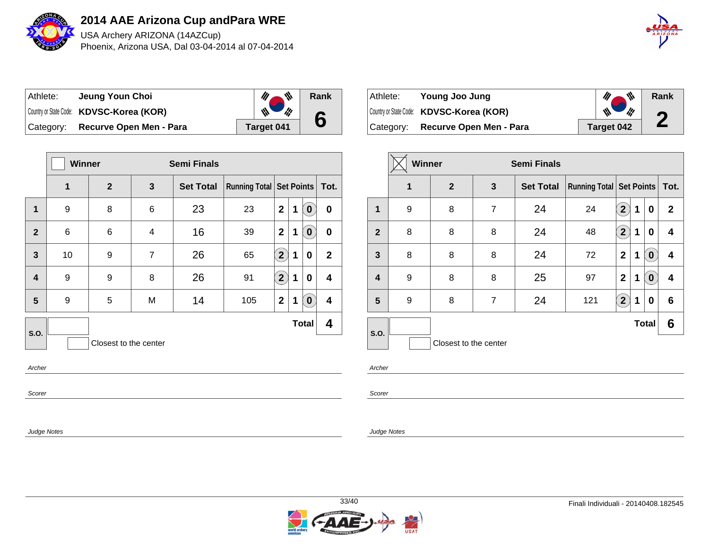

USA Archery ARIZONA (14AZCup) Phoenix, Arizona USA, Dal 03-04-2014 al 07-04-2014



| Athlete: | Jeung Youn Choi                          | 带          | Rank |
|----------|------------------------------------------|------------|------|
|          | Country or State Code: KDVSC-Korea (KOR) | 版          | 6    |
|          | Category: Recurve Open Men - Para        | Target 041 |      |

|                         | <b>Winner</b><br><b>Semi Finals</b> |                |                |                  |                            |                   |   |              |                         |
|-------------------------|-------------------------------------|----------------|----------------|------------------|----------------------------|-------------------|---|--------------|-------------------------|
|                         | 1                                   | $\overline{2}$ | 3              | <b>Set Total</b> | Running Total   Set Points |                   |   |              | Tot.                    |
| $\mathbf 1$             | 9                                   | 8              | 6              | 23               | 23                         | $\overline{2}$    | 1 | $\bullet$    | $\pmb{0}$               |
| $\overline{2}$          | 6                                   | 6              | 4              | 16               | 39                         | $\mathbf{2}$      | 1 | $\bullet$    | 0                       |
| $\mathbf{3}$            | 10                                  | 9              | $\overline{7}$ | 26               | 65                         | $\left( 2\right)$ | 1 | 0            | $\mathbf{2}$            |
| $\overline{\mathbf{4}}$ | 9                                   | 9              | 8              | 26               | 91                         | $\mathbf{2}$      | 1 | 0            | 4                       |
| 5                       | 9                                   | 5              | M              | 14               | 105                        | $\mathbf{2}$      | 1 | $\mathbf{0}$ | $\overline{\mathbf{4}}$ |
| S.O.                    |                                     |                |                |                  |                            |                   |   | <b>Total</b> | 4                       |
|                         | Closest to the center               |                |                |                  |                            |                   |   |              |                         |
| Archer                  |                                     |                |                |                  |                            |                   |   |              |                         |
| Scorer                  |                                     |                |                |                  |                            |                   |   |              |                         |

| Athlete:  | Young Joo Jung                           |            | $\mathscr{U}$ $\mathscr{N}$ | Rank             |
|-----------|------------------------------------------|------------|-----------------------------|------------------|
|           | Country or State Code: KDVSC-Korea (KOR) |            | W<br>$\frac{1}{10}$         | $\bullet$        |
| Category: | Recurve Open Men - Para                  | Target 042 |                             | $\blacktriangle$ |

|                         |   | <b>Winner</b><br><b>Semi Finals</b> |   |                  |                                 |                       |   |                  |              |
|-------------------------|---|-------------------------------------|---|------------------|---------------------------------|-----------------------|---|------------------|--------------|
|                         | 1 | $\mathbf{2}$                        | 3 | <b>Set Total</b> | <b>Running Total Set Points</b> |                       |   |                  | Tot.         |
| 1                       | 9 | 8                                   | 7 | 24               | 24                              | $\mathbf{2}$          | 1 | 0                | $\mathbf{2}$ |
| $\mathbf{2}$            | 8 | 8                                   | 8 | 24               | 48                              | $\overline{2}$        | 1 | 0                | 4            |
| 3                       | 8 | 8                                   | 8 | 24               | 72                              | $\mathbf 2$           | 1 | $\pmb{0}$        | 4            |
| $\overline{\mathbf{4}}$ | 9 | 8                                   | 8 | 25               | 97                              | $\mathbf 2$           | 1 | $\boldsymbol{0}$ | 4            |
| $5\phantom{.0}$         | 9 | 8                                   | 7 | 24               | 121                             | $\mathbf{2}^{\prime}$ | 1 | 0                | 6            |
| S.O.                    |   |                                     |   |                  |                                 |                       |   | <b>Total</b>     | 6            |
|                         |   | Closest to the center               |   |                  |                                 |                       |   |                  |              |

Archer

Scorer

Judge Notes

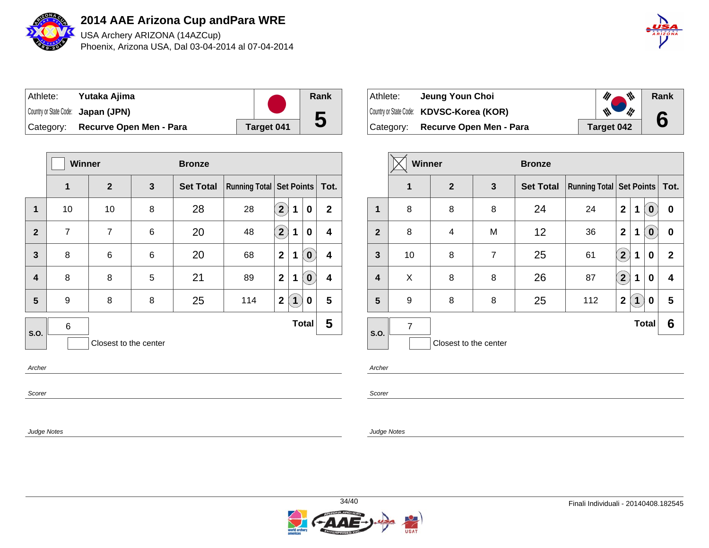

USA Archery ARIZONA (14AZCup) Phoenix, Arizona USA, Dal 03-04-2014 al 07-04-2014



| Athlete:  | Yutaka Ajima                       |            | Rank |
|-----------|------------------------------------|------------|------|
|           | Country or State Code: Japan (JPN) |            |      |
| Category: | Recurve Open Men - Para            | Target 041 | b    |

|                         | Winner<br><b>Bronze</b> |                |   |                  |                                   |                            |             |              |                         |  |  |
|-------------------------|-------------------------|----------------|---|------------------|-----------------------------------|----------------------------|-------------|--------------|-------------------------|--|--|
|                         | 1                       | $\mathbf{2}$   | 3 | <b>Set Total</b> | Running Total   Set Points   Tot. |                            |             |              |                         |  |  |
| 1                       | 10                      | 10             | 8 | 28               | 28                                | $\mathbf{2}$               | 1           | 0            | $\mathbf{2}$            |  |  |
| $\overline{2}$          | $\overline{7}$          | $\overline{7}$ | 6 | 20               | 48                                | $\left( \mathbf{2}\right)$ | 1           | 0            | $\overline{\mathbf{4}}$ |  |  |
| $\overline{\mathbf{3}}$ | 8                       | 6              | 6 | 20               | 68                                | $\mathbf{2}$               | 1           | $\pmb{0}$    | $\overline{\mathbf{4}}$ |  |  |
| $\overline{\mathbf{4}}$ | 8                       | 8              | 5 | 21               | 89                                | $\overline{2}$             | 1           | $\pmb{0}$    | $\overline{\mathbf{4}}$ |  |  |
| 5                       | 9                       | 8              | 8 | 25               | 114                               | $\mathbf 2$                | $\mathbf 1$ | 0            | $5\phantom{1}$          |  |  |
| S.O.                    | $\,6$                   |                |   |                  |                                   |                            |             | <b>Total</b> | 5                       |  |  |
|                         | Closest to the center   |                |   |                  |                                   |                            |             |              |                         |  |  |
| Archer                  |                         |                |   |                  |                                   |                            |             |              |                         |  |  |
| Scorer                  |                         |                |   |                  |                                   |                            |             |              |                         |  |  |

| Athlete:  | Jeung Youn Choi                          | M,                                 | Rank |
|-----------|------------------------------------------|------------------------------------|------|
|           | Country or State Code: KDVSC-Korea (KOR) | $\mathscr{M}_{\mathbb{Z}}$<br>' fu | 6    |
| Category: | Recurve Open Men - Para                  | Target 042                         |      |

|                         | <b>Winner</b> |                       |                | <b>Bronze</b>    |                                     |                       |             |                  |              |  |
|-------------------------|---------------|-----------------------|----------------|------------------|-------------------------------------|-----------------------|-------------|------------------|--------------|--|
|                         | $\mathbf 1$   | $\overline{2}$        | 3              | <b>Set Total</b> | <b>Running Total   Set Points  </b> |                       |             |                  | Tot.         |  |
| 1                       | 8             | 8                     | 8              | 24               | 24                                  | $\mathbf 2$           | 1           | $\boldsymbol{0}$ | 0            |  |
| $\overline{2}$          | 8             | 4                     | M              | 12               | 36                                  | $\mathbf 2$           | 1           | $\mathbf 0$      | 0            |  |
| $\mathbf{3}$            | 10            | 8                     | $\overline{7}$ | 25               | 61                                  | $\mathbf{2}^{\prime}$ | 1           | 0                | $\mathbf{2}$ |  |
| $\overline{\mathbf{4}}$ | X             | 8                     | 8              | 26               | 87                                  | $\mathbf{2}$          | 1           | 0                | 4            |  |
| 5                       | 9             | 8                     | 8              | 25               | 112                                 | $\mathbf{2}$          | $\mathbf 1$ | 0                | 5            |  |
| S.O.                    | 7             |                       |                |                  |                                     |                       |             | <b>Total</b>     | 6            |  |
|                         |               | Closest to the center |                |                  |                                     |                       |             |                  |              |  |

Archer

Scorer

Judge Notes

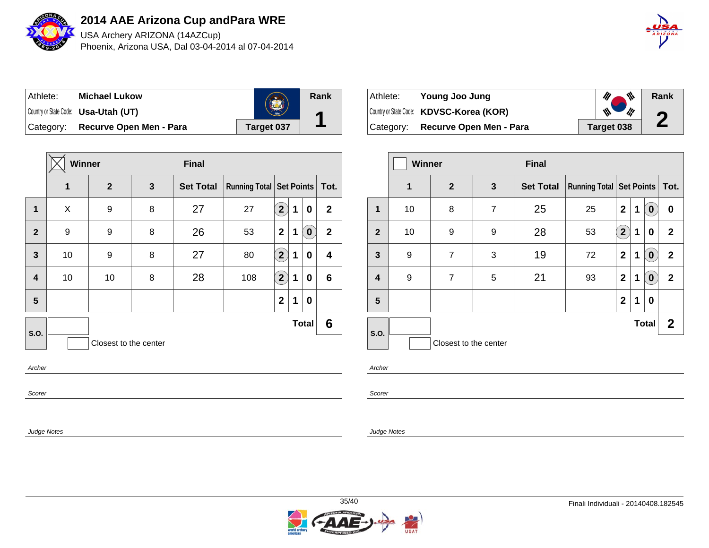

USA Archery ARIZONA (14AZCup) Phoenix, Arizona USA, Dal 03-04-2014 al 07-04-2014



| Athlete:  | <b>Michael Lukow</b>                 |            |  |  |
|-----------|--------------------------------------|------------|--|--|
|           | Country or State Code: Usa-Utah (UT) |            |  |  |
| Category: | Recurve Open Men - Para              | Target 037 |  |  |

|                         | Winner<br><b>Final</b> |              |              |                  |                                   |                            |   |                  |                |  |
|-------------------------|------------------------|--------------|--------------|------------------|-----------------------------------|----------------------------|---|------------------|----------------|--|
|                         | 1                      | $\mathbf{2}$ | $\mathbf{3}$ | <b>Set Total</b> | Running Total   Set Points   Tot. |                            |   |                  |                |  |
| $\mathbf 1$             | X                      | 9            | 8            | 27               | 27                                | $\left( \mathbf{2}\right)$ | 1 | 0                | $\overline{2}$ |  |
| $\overline{2}$          | 9                      | 9            | 8            | 26               | 53                                | $\mathbf{2}$               | 1 | $\bullet$        | $\mathbf{2}$   |  |
| $\mathbf{3}$            | 10                     | 9            | 8            | 27               | 80                                | $\widehat{2}$              | 1 | 0                | 4              |  |
| $\overline{\mathbf{4}}$ | 10                     | 10           | 8            | 28               | 108                               | $\left( 2\right)$          | 1 | 0                | $\bf 6$        |  |
| $5\phantom{1}$          |                        |              |              |                  |                                   | $\mathbf{2}$               | 1 | $\boldsymbol{0}$ |                |  |
| S.O.                    |                        |              |              |                  |                                   |                            |   | <b>Total</b>     | $6\phantom{1}$ |  |
|                         | Closest to the center  |              |              |                  |                                   |                            |   |                  |                |  |
| Archer                  |                        |              |              |                  |                                   |                            |   |                  |                |  |
| Scorer                  |                        |              |              |                  |                                   |                            |   |                  |                |  |

| Athlete: | Young Joo Jung                           |            | $\mathscr{U}$ $\mathscr{W}$        | Rank                  |
|----------|------------------------------------------|------------|------------------------------------|-----------------------|
|          | Country or State Code: KDVSC-Korea (KOR) |            | $\mathcal{W}$<br>$\frac{d\mu}{dt}$ | $\bullet$             |
|          | Category: Recurve Open Men - Para        | Target 038 |                                    | $\blacktriangleright$ |

|                | Winner<br><b>Final</b> |                       |                |                  |                            |                           |   |                  |              |
|----------------|------------------------|-----------------------|----------------|------------------|----------------------------|---------------------------|---|------------------|--------------|
|                | 1                      | $\overline{2}$        | $\mathbf{3}$   | <b>Set Total</b> | Running Total   Set Points |                           |   |                  | Tot.         |
| 1              | 10                     | 8                     | $\overline{7}$ | 25               | 25                         | $\mathbf 2$               | 1 | $\bf{0}$         | 0            |
| $\mathbf{2}$   | 10                     | 9                     | 9              | 28               | 53                         | $\mathbf{2}^{\backslash}$ | 1 | 0                | $\mathbf{2}$ |
| $\mathbf{3}$   | 9                      | $\overline{7}$        | 3              | 19               | 72                         | $\overline{2}$            | 1 | $\bf{0}$         | $\mathbf{2}$ |
| 4              | 9                      | $\overline{7}$        | 5              | 21               | 93                         | $\mathbf 2$               | 1 | $\boldsymbol{0}$ | $\mathbf{2}$ |
| $5\phantom{1}$ |                        |                       |                |                  |                            | $\mathbf{2}$              | 1 | 0                |              |
| S.O.           |                        |                       |                |                  |                            |                           |   | <b>Total</b>     | $\mathbf{2}$ |
|                |                        | Closest to the center |                |                  |                            |                           |   |                  |              |

Archer

**Rank**

**1**

Scorer

Judge Notes

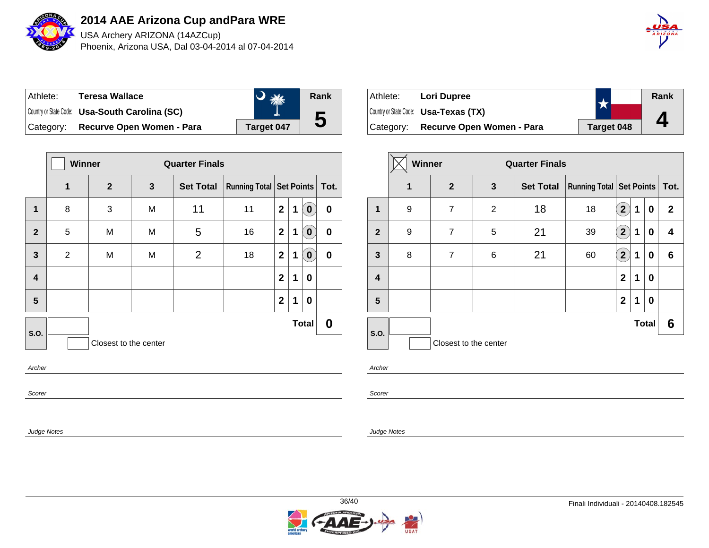

USA Archery ARIZONA (14AZCup) Phoenix, Arizona USA, Dal 03-04-2014 al 07-04-2014

| $\hat{A}$ $\hat{B}$ $\hat{I}$ $\hat{Z}$ $\hat{O}$ $\hat{N}\hat{A}$ |
|--------------------------------------------------------------------|
|                                                                    |

| ⊺Athlete: | <b>Teresa Wallace</b>                          |                   | Rank |
|-----------|------------------------------------------------|-------------------|------|
|           | Country or State Code: Usa-South Carolina (SC) |                   |      |
| Category: | Recurve Open Women - Para                      | <b>Target 047</b> | ე    |

|                         |                | Winner<br><b>Quarter Finals</b> |              |                                                          |    |                |   |                  |             |
|-------------------------|----------------|---------------------------------|--------------|----------------------------------------------------------|----|----------------|---|------------------|-------------|
|                         | 1              | $\mathbf{2}$                    | $\mathbf{3}$ | <b>Running Total Set Points Tot.</b><br><b>Set Total</b> |    |                |   |                  |             |
| $\mathbf{1}$            | 8              | 3                               | M            | 11                                                       | 11 | $\overline{2}$ | 1 | $\bullet$        | $\mathbf 0$ |
| $\overline{2}$          | 5              | M                               | M            | 5                                                        | 16 | $\mathbf{2}$   | 1 | $\bullet$        | 0           |
| $\mathbf{3}$            | $\overline{2}$ | M                               | M            | $\overline{2}$                                           | 18 | $\mathbf{2}$   | 1 | $\mathbf 0$      | $\mathbf 0$ |
| $\overline{\mathbf{4}}$ |                |                                 |              |                                                          |    | $\mathbf{2}$   | 1 | 0                |             |
| 5                       |                |                                 |              |                                                          |    | $\mathbf{2}$   | 1 | $\boldsymbol{0}$ |             |
| S.O.                    |                |                                 |              |                                                          |    |                |   | <b>Total</b>     | $\bf{0}$    |
|                         |                | Closest to the center           |              |                                                          |    |                |   |                  |             |
| Archer                  |                |                                 |              |                                                          |    |                |   |                  |             |
| Scorer                  |                |                                 |              |                                                          |    |                |   |                  |             |

| Athlete:  | <b>Lori Dupree</b>                           |            | Rank |
|-----------|----------------------------------------------|------------|------|
|           | Country or State Code: <b>Usa-Texas (TX)</b> |            |      |
| Category: | Recurve Open Women - Para                    | Target 048 |      |

|                         | Winner |                       |                | <b>Quarter Finals</b> |                                     |                         |   |                  |              |
|-------------------------|--------|-----------------------|----------------|-----------------------|-------------------------------------|-------------------------|---|------------------|--------------|
|                         | 1      | $\overline{2}$        | $\mathbf{3}$   | <b>Set Total</b>      | <b>Running Total   Set Points  </b> |                         |   |                  | Tot.         |
| $\mathbf{1}$            | 9      | $\overline{7}$        | $\overline{2}$ | 18                    | 18                                  | $\mathbf{2}$            | 1 | $\boldsymbol{0}$ | $\mathbf{2}$ |
| $\boldsymbol{2}$        | 9      | 7                     | 5              | 21                    | 39                                  | $\overline{\mathbf{2}}$ | 1 | 0                | 4            |
| $\mathbf{3}$            | 8      | $\overline{7}$        | 6              | 21                    | 60                                  | $\sqrt{2}$              | 1 | 0                | 6            |
| $\overline{\mathbf{4}}$ |        |                       |                |                       |                                     | $\mathbf{2}$            | 1 | 0                |              |
| 5                       |        |                       |                |                       |                                     | $\mathbf{2}$            | 1 | $\boldsymbol{0}$ |              |
| S.O.                    |        |                       |                |                       |                                     |                         |   | <b>Total</b>     | 6            |
|                         |        | Closest to the center |                |                       |                                     |                         |   |                  |              |

Archer

Scorer

Judge Notes

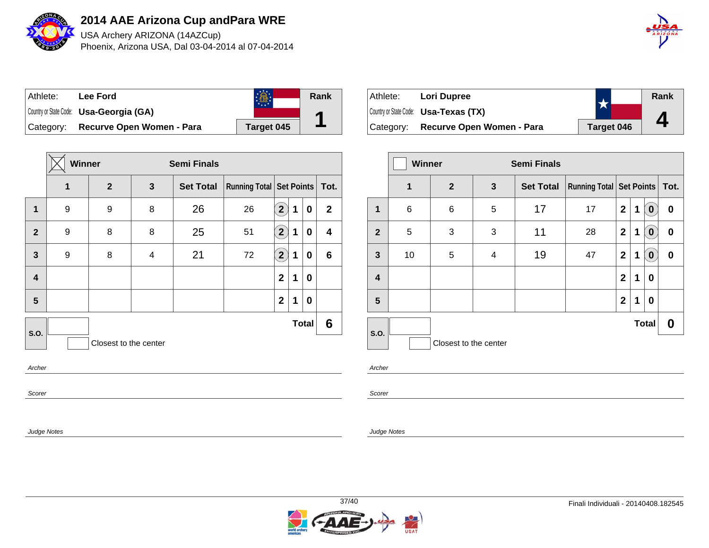

USA Archery ARIZONA (14AZCup) Phoenix, Arizona USA, Dal 03-04-2014 al 07-04-2014

| A B Z O N A |
|-------------|
|             |
|             |

| ⊺Athlete: | Lee Ford                                       |            | Rank |
|-----------|------------------------------------------------|------------|------|
|           | Country or State Code: <b>Usa-Georgia (GA)</b> |            |      |
| Category: | Recurve Open Women - Para                      | Target 045 |      |

|                         | Winner<br><b>Semi Finals</b> |                       |                         |                  |                               |                            |   |              |                |
|-------------------------|------------------------------|-----------------------|-------------------------|------------------|-------------------------------|----------------------------|---|--------------|----------------|
|                         | 1                            | $\mathbf{2}$          | 3                       | <b>Set Total</b> | Running Total Set Points Tot. |                            |   |              |                |
| 1                       | 9                            | 9                     | 8                       | 26               | 26                            | $\left( \mathbf{2}\right)$ | 1 | 0            | $\overline{2}$ |
| $\overline{2}$          | 9                            | 8                     | 8                       | 25               | 51                            | $\left( \mathbf{2}\right)$ | 1 | 0            | 4              |
| $\mathbf{3}$            | 9                            | 8                     | $\overline{\mathbf{4}}$ | 21               | 72                            | $\bf(2)$                   | 1 | 0            | $6\phantom{1}$ |
| $\overline{\mathbf{4}}$ |                              |                       |                         |                  |                               | $\overline{2}$             | 1 | 0            |                |
| 5                       |                              |                       |                         |                  |                               | $\mathbf{2}$               | 1 | 0            |                |
| S.O.                    |                              |                       |                         |                  |                               |                            |   | <b>Total</b> | $6\phantom{1}$ |
|                         |                              | Closest to the center |                         |                  |                               |                            |   |              |                |
| Archer                  |                              |                       |                         |                  |                               |                            |   |              |                |
| Scorer                  |                              |                       |                         |                  |                               |                            |   |              |                |

| Athlete:  | <b>Lori Dupree</b>                           |            | Rank |
|-----------|----------------------------------------------|------------|------|
|           | Country or State Code: <b>Usa-Texas (TX)</b> |            |      |
| Category: | Recurve Open Women - Para                    | Target 046 | Д    |

|                         | <b>Winner</b><br><b>Semi Finals</b> |                       |   |                  |                            |                |   |              |          |
|-------------------------|-------------------------------------|-----------------------|---|------------------|----------------------------|----------------|---|--------------|----------|
|                         | 1                                   | $\overline{2}$        | 3 | <b>Set Total</b> | Running Total   Set Points |                |   |              | Tot.     |
| 1                       | 6                                   | 6                     | 5 | 17               | 17                         | $\mathbf 2$    | 1 | $\bf{0}$     | 0        |
| $\mathbf{2}$            | 5                                   | 3                     | 3 | 11               | 28                         | $\mathbf{2}$   | 1 | $\bf{0}$     | 0        |
| $\mathbf{3}$            | 10                                  | 5                     | 4 | 19               | 47                         | $\mathbf{2}$   | 1 | $\bf{0}$     | $\bf{0}$ |
| $\overline{\mathbf{4}}$ |                                     |                       |   |                  |                            | $\overline{2}$ | 1 | 0            |          |
| 5                       |                                     |                       |   |                  |                            | $\mathbf 2$    | 1 | 0            |          |
|                         |                                     |                       |   |                  |                            |                |   | <b>Total</b> | 0        |
| S.O.                    |                                     | Closest to the center |   |                  |                            |                |   |              |          |

Archer

Scorer

Judge Notes

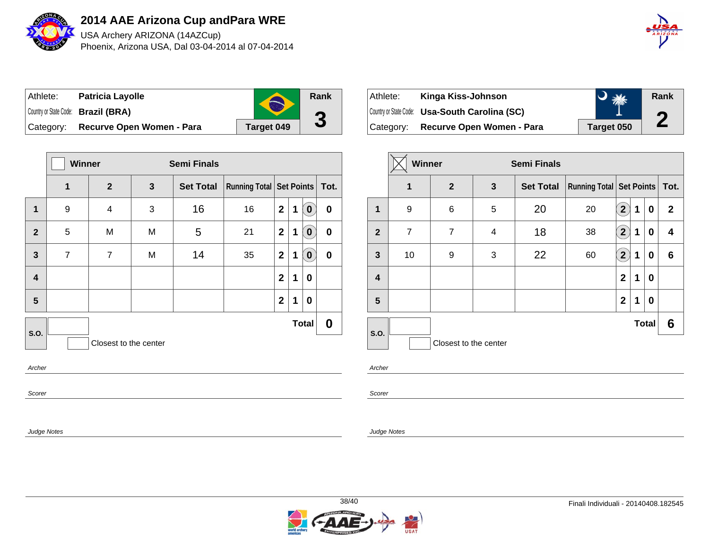

USA Archery ARIZONA (14AZCup) Phoenix, Arizona USA, Dal 03-04-2014 al 07-04-2014



| Athlete:  | <b>Patricia Layolle</b>             |            | Rank              |
|-----------|-------------------------------------|------------|-------------------|
|           | Country or State Code: Brazil (BRA) |            | $\mathbf{\Omega}$ |
| Category: | Recurve Open Women - Para           | Target 049 | J                 |

|                                               | <b>Winner</b>  |                  | <b>Semi Finals</b> |                  |                               |                |   |              |             |
|-----------------------------------------------|----------------|------------------|--------------------|------------------|-------------------------------|----------------|---|--------------|-------------|
|                                               | 1              | $\boldsymbol{2}$ | 3                  | <b>Set Total</b> | Running Total Set Points Tot. |                |   |              |             |
| 1                                             | 9              | 4                | 3                  | 16               | 16                            | $\mathbf{2}$   | 1 | $\bullet$    | $\mathbf 0$ |
| $\overline{2}$                                | 5              | M                | M                  | 5                | 21                            | $\mathbf{2}$   | 1 | $\mathbf{0}$ | 0           |
| $\mathbf{3}$                                  | $\overline{7}$ | $\overline{7}$   | M                  | 14               | 35                            | $\mathbf{2}$   | 1 | $\pmb{0}$    | $\pmb{0}$   |
| $\overline{\mathbf{4}}$                       |                |                  |                    |                  |                               | $\overline{2}$ | 1 | 0            |             |
| 5                                             |                |                  |                    |                  |                               | $\mathbf{2}$   | 1 | 0            |             |
| <b>Total</b><br>S.O.<br>Closest to the center |                |                  |                    |                  |                               |                |   |              | 0           |
| Archer                                        |                |                  |                    |                  |                               |                |   |              |             |
| Scorer                                        |                |                  |                    |                  |                               |                |   |              |             |

| Athlete:  | Kinga Kiss-Johnson                             | 添长         | Rank |
|-----------|------------------------------------------------|------------|------|
|           | Country or State Code: Usa-South Carolina (SC) |            | C    |
| Category: | Recurve Open Women - Para                      | Target 050 | L    |

|                         | Winner |                       |   | <b>Semi Finals</b> |                                     |                       |   |              |              |
|-------------------------|--------|-----------------------|---|--------------------|-------------------------------------|-----------------------|---|--------------|--------------|
|                         | 1      | $\overline{2}$        | 3 | <b>Set Total</b>   | <b>Running Total   Set Points  </b> |                       |   |              | Tot.         |
| 1                       | 9      | 6                     | 5 | 20                 | 20                                  | $\mathbf{2}$          | 1 | 0            | $\mathbf{2}$ |
| $\overline{2}$          | 7      | 7                     | 4 | 18                 | 38                                  | $\mathbf{2}^{\prime}$ | 1 | 0            | 4            |
| $\overline{\mathbf{3}}$ | 10     | 9                     | 3 | 22                 | 60                                  | $\mathbf{2}$          | 1 | 0            | 6            |
| $\overline{\mathbf{4}}$ |        |                       |   |                    |                                     | $\mathbf{2}$          | 1 | 0            |              |
| 5                       |        |                       |   |                    |                                     | $\mathbf{2}$          | 1 | 0            |              |
| S.O.                    |        |                       |   |                    |                                     |                       |   | <b>Total</b> | 6            |
|                         |        | Closest to the center |   |                    |                                     |                       |   |              |              |

Archer

Scorer

Judge Notes

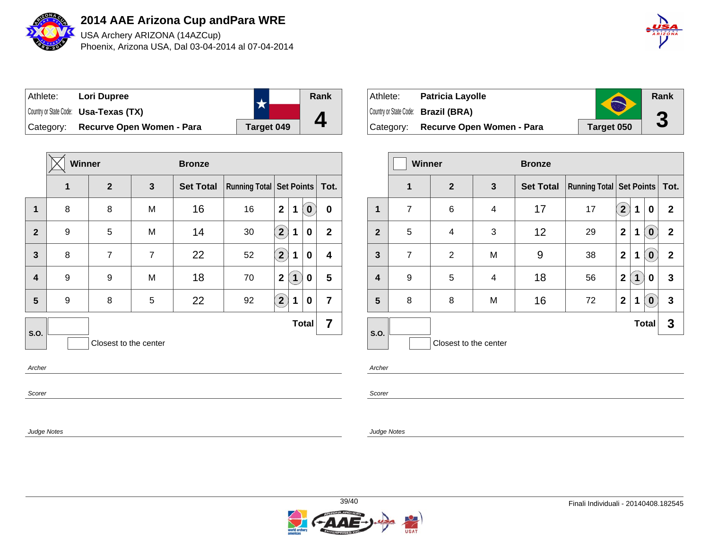

USA Archery ARIZONA (14AZCup) Phoenix, Arizona USA, Dal 03-04-2014 al 07-04-2014

| $\hat{A}$ $\hat{B}$ $\hat{I}$ $\hat{Z}$ $\hat{O}$ $\hat{N}\hat{A}$ |
|--------------------------------------------------------------------|
|                                                                    |

| Athlete:  | Lori Dupree                                  |            | Rank |
|-----------|----------------------------------------------|------------|------|
|           | Country or State Code: <b>Usa-Texas (TX)</b> |            |      |
| Category: | Recurve Open Women - Para                    | Target 049 |      |

|                | Winner |                       |                | <b>Bronze</b>    |                                   |                         |             |              |                         |
|----------------|--------|-----------------------|----------------|------------------|-----------------------------------|-------------------------|-------------|--------------|-------------------------|
|                | 1      | $\mathbf{2}$          | 3              | <b>Set Total</b> | Running Total   Set Points   Tot. |                         |             |              |                         |
| $\mathbf 1$    | 8      | 8                     | M              | 16               | 16                                | $\overline{\mathbf{2}}$ | 1           | $\bullet$    | $\pmb{0}$               |
| $\overline{2}$ | 9      | 5                     | M              | 14               | 30                                | $\widehat{2}$           | 1           | 0            | $\overline{2}$          |
| 3              | 8      | $\overline{7}$        | $\overline{7}$ | 22               | 52                                | $\bf(2)$                | 1           | 0            | $\overline{\mathbf{4}}$ |
| 4              | 9      | 9                     | M              | 18               | 70                                | $\overline{\mathbf{2}}$ | $\mathbf 1$ | 0            | 5                       |
| 5              | 9      | 8                     | 5              | 22               | 92                                | $\bf (2)$               | 1           | 0            | $\overline{\mathbf{7}}$ |
| S.O.           |        |                       |                |                  |                                   |                         |             | <b>Total</b> | $\overline{\mathbf{7}}$ |
|                |        | Closest to the center |                |                  |                                   |                         |             |              |                         |
| Archer         |        |                       |                |                  |                                   |                         |             |              |                         |
| Scorer         |        |                       |                |                  |                                   |                         |             |              |                         |

| Athlete:  | <b>Patricia Layolle</b>             |                   | Rank |
|-----------|-------------------------------------|-------------------|------|
|           | Country or State Code: Brazil (BRA) | $\sqrt{2}$        | ŋ    |
| Category: | Recurve Open Women - Para           | <b>Target 050</b> |      |

|                         | <b>Winner</b>  |                       |                         | <b>Bronze</b>    |                                     |                                 |   |              |              |
|-------------------------|----------------|-----------------------|-------------------------|------------------|-------------------------------------|---------------------------------|---|--------------|--------------|
|                         | 1              | $\overline{2}$        | 3                       | <b>Set Total</b> | <b>Running Total   Set Points  </b> |                                 |   |              | Tot.         |
| 1                       | $\overline{7}$ | 6                     | $\overline{\mathbf{4}}$ | 17               | 17                                  | $\mathbf{2}^{\mathbf{\degree}}$ | 1 | 0            | $\mathbf{2}$ |
| $\overline{2}$          | 5              | 4                     | 3                       | 12               | 29                                  | $\mathbf{2}$                    | 1 | $\pmb{0}$    | $\mathbf{2}$ |
| $\overline{\mathbf{3}}$ | $\overline{7}$ | 2                     | M                       | 9                | 38                                  | $\mathbf 2$                     | 1 | $\mathbf 0$  | $\mathbf{2}$ |
| $\overline{\mathbf{4}}$ | 9              | 5                     | 4                       | 18               | 56                                  | $\mathbf{2}$                    | 1 | 0            | 3            |
| 5                       | 8              | 8                     | M                       | 16               | 72                                  | $\mathbf 2$                     | 1 | $\mathbf 0$  | 3            |
| S.O.                    |                |                       |                         |                  |                                     |                                 |   | <b>Total</b> | 3            |
|                         |                | Closest to the center |                         |                  |                                     |                                 |   |              |              |

Archer

Scorer

Judge Notes